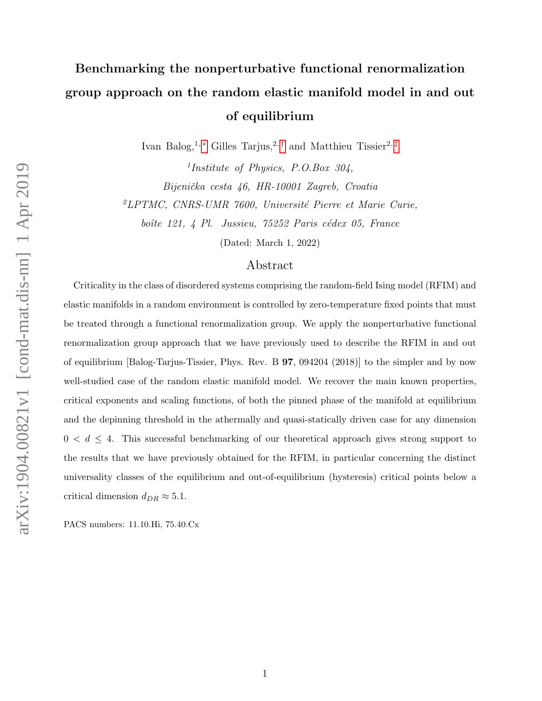# Benchmarking the nonperturbative functional renormalization group approach on the random elastic manifold model in and out of equilibrium

Ivan Balog,<sup>1,\*</sup> Gilles Tarjus,<sup>2,[†](#page-34-1)</sup> and Matthieu Tissier<sup>2,[‡](#page-34-2)</sup>

1 Institute of Physics, P.O.Box 304, Bijenička cesta 46, HR-10001 Zagreb, Croatia  $^2LPTMC$ , CNRS-UMR 7600, Université Pierre et Marie Curie, boîte 121, 4 Pl. Jussieu, 75252 Paris cédex 05, France

(Dated: March 1, 2022)

# Abstract

Criticality in the class of disordered systems comprising the random-field Ising model (RFIM) and elastic manifolds in a random environment is controlled by zero-temperature fixed points that must be treated through a functional renormalization group. We apply the nonperturbative functional renormalization group approach that we have previously used to describe the RFIM in and out of equilibrium [Balog-Tarjus-Tissier, Phys. Rev. B 97, 094204 (2018)] to the simpler and by now well-studied case of the random elastic manifold model. We recover the main known properties, critical exponents and scaling functions, of both the pinned phase of the manifold at equilibrium and the depinning threshold in the athermally and quasi-statically driven case for any dimension  $0 < d \leq 4$ . This successful benchmarking of our theoretical approach gives strong support to the results that we have previously obtained for the RFIM, in particular concerning the distinct universality classes of the equilibrium and out-of-equilibrium (hysteresis) critical points below a critical dimension  $d_{DR} \approx 5.1$ .

PACS numbers: 11.10.Hi, 75.40.Cx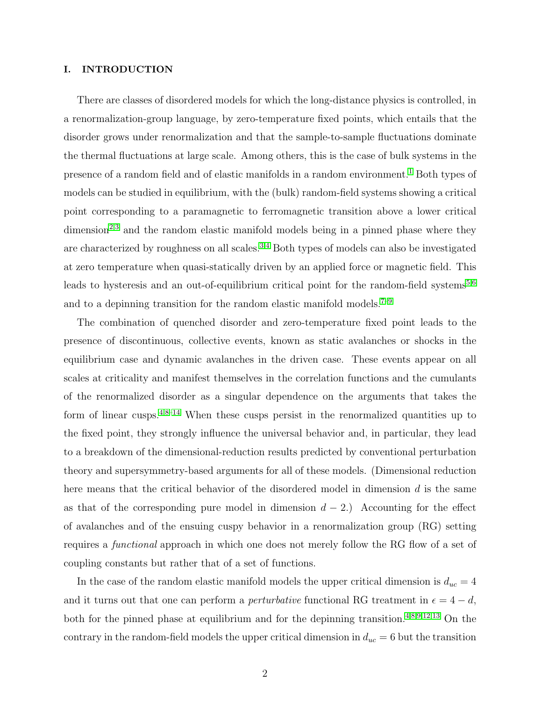# I. INTRODUCTION

There are classes of disordered models for which the long-distance physics is controlled, in a renormalization-group language, by zero-temperature fixed points, which entails that the disorder grows under renormalization and that the sample-to-sample fluctuations dominate the thermal fluctuations at large scale. Among others, this is the case of bulk systems in the presence of a random field and of elastic manifolds in a random environment.<sup>[1](#page-34-3)</sup> Both types of models can be studied in equilibrium, with the (bulk) random-field systems showing a critical point corresponding to a paramagnetic to ferromagnetic transition above a lower critical  $dimension<sup>2,3</sup>$  $dimension<sup>2,3</sup>$  $dimension<sup>2,3</sup>$  $dimension<sup>2,3</sup>$  and the random elastic manifold models being in a pinned phase where they are characterized by roughness on all scales.[3](#page-35-1)[,4](#page-35-2) Both types of models can also be investigated at zero temperature when quasi-statically driven by an applied force or magnetic field. This leads to hysteresis and an out-of-equilibrium critical point for the random-field systems<sup>[5,](#page-35-3)[6](#page-35-4)</sup> and to a depinning transition for the random elastic manifold models.<sup>[7](#page-35-5)[–9](#page-35-6)</sup>

The combination of quenched disorder and zero-temperature fixed point leads to the presence of discontinuous, collective events, known as static avalanches or shocks in the equilibrium case and dynamic avalanches in the driven case. These events appear on all scales at criticality and manifest themselves in the correlation functions and the cumulants of the renormalized disorder as a singular dependence on the arguments that takes the form of linear cusps.<sup>[4,](#page-35-2)[8–](#page-35-7)[14](#page-35-8)</sup> When these cusps persist in the renormalized quantities up to the fixed point, they strongly influence the universal behavior and, in particular, they lead to a breakdown of the dimensional-reduction results predicted by conventional perturbation theory and supersymmetry-based arguments for all of these models. (Dimensional reduction here means that the critical behavior of the disordered model in dimension  $d$  is the same as that of the corresponding pure model in dimension  $d - 2$ .) Accounting for the effect of avalanches and of the ensuing cuspy behavior in a renormalization group (RG) setting requires a functional approach in which one does not merely follow the RG flow of a set of coupling constants but rather that of a set of functions.

In the case of the random elastic manifold models the upper critical dimension is  $d_{uc} = 4$ and it turns out that one can perform a *perturbative* functional RG treatment in  $\epsilon = 4 - d$ , both for the pinned phase at equilibrium and for the depinning transition.[4,](#page-35-2)[8](#page-35-7)[,9](#page-35-6)[,12,](#page-35-9)[13](#page-35-10) On the contrary in the random-field models the upper critical dimension in  $d_{uc} = 6$  but the transition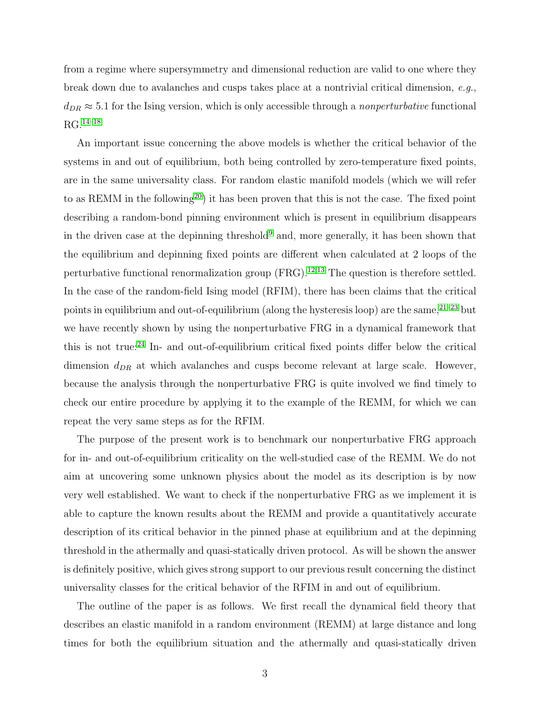from a regime where supersymmetry and dimensional reduction are valid to one where they break down due to avalanches and cusps takes place at a nontrivial critical dimension, e.g.,  $d_{DR} \approx 5.1$  for the Ising version, which is only accessible through a nonperturbative functional  $\rm RG.^{14–18}$  $\rm RG.^{14–18}$  $\rm RG.^{14–18}$  $\rm RG.^{14–18}$ 

An important issue concerning the above models is whether the critical behavior of the systems in and out of equilibrium, both being controlled by zero-temperature fixed points, are in the same universality class. For random elastic manifold models (which we will refer to as REMM in the following<sup>[20](#page-35-12)</sup>) it has been proven that this is not the case. The fixed point describing a random-bond pinning environment which is present in equilibrium disappears in the driven case at the depinning threshold<sup>[9](#page-35-6)</sup> and, more generally, it has been shown that the equilibrium and depinning fixed points are different when calculated at 2 loops of the perturbative functional renormalization group  $(FRG).<sup>12,13</sup>$  $(FRG).<sup>12,13</sup>$  $(FRG).<sup>12,13</sup>$  $(FRG).<sup>12,13</sup>$  The question is therefore settled. In the case of the random-field Ising model (RFIM), there has been claims that the critical points in equilibrium and out-of-equilibrium (along the hysteresis loop) are the same,  $21-23$  $21-23$  but we have recently shown by using the nonperturbative FRG in a dynamical framework that this is not true:[24](#page-36-0) In- and out-of-equilibrium critical fixed points differ below the critical dimension  $d_{DR}$  at which avalanches and cusps become relevant at large scale. However, because the analysis through the nonperturbative FRG is quite involved we find timely to check our entire procedure by applying it to the example of the REMM, for which we can repeat the very same steps as for the RFIM.

The purpose of the present work is to benchmark our nonperturbative FRG approach for in- and out-of-equilibrium criticality on the well-studied case of the REMM. We do not aim at uncovering some unknown physics about the model as its description is by now very well established. We want to check if the nonperturbative FRG as we implement it is able to capture the known results about the REMM and provide a quantitatively accurate description of its critical behavior in the pinned phase at equilibrium and at the depinning threshold in the athermally and quasi-statically driven protocol. As will be shown the answer is definitely positive, which gives strong support to our previous result concerning the distinct universality classes for the critical behavior of the RFIM in and out of equilibrium.

The outline of the paper is as follows. We first recall the dynamical field theory that describes an elastic manifold in a random environment (REMM) at large distance and long times for both the equilibrium situation and the athermally and quasi-statically driven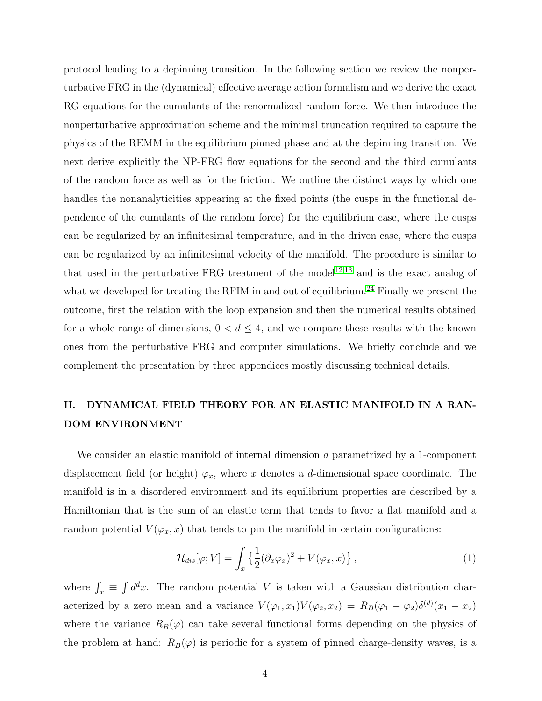protocol leading to a depinning transition. In the following section we review the nonperturbative FRG in the (dynamical) effective average action formalism and we derive the exact RG equations for the cumulants of the renormalized random force. We then introduce the nonperturbative approximation scheme and the minimal truncation required to capture the physics of the REMM in the equilibrium pinned phase and at the depinning transition. We next derive explicitly the NP-FRG flow equations for the second and the third cumulants of the random force as well as for the friction. We outline the distinct ways by which one handles the nonanalyticities appearing at the fixed points (the cusps in the functional dependence of the cumulants of the random force) for the equilibrium case, where the cusps can be regularized by an infinitesimal temperature, and in the driven case, where the cusps can be regularized by an infinitesimal velocity of the manifold. The procedure is similar to that used in the perturbative FRG treatment of the model<sup>[12](#page-35-9)[,13](#page-35-10)</sup> and is the exact analog of what we developed for treating the RFIM in and out of equilibrium.<sup>[24](#page-36-0)</sup> Finally we present the outcome, first the relation with the loop expansion and then the numerical results obtained for a whole range of dimensions,  $0 < d \leq 4$ , and we compare these results with the known ones from the perturbative FRG and computer simulations. We briefly conclude and we complement the presentation by three appendices mostly discussing technical details.

# II. DYNAMICAL FIELD THEORY FOR AN ELASTIC MANIFOLD IN A RAN-DOM ENVIRONMENT

We consider an elastic manifold of internal dimension d parametrized by a 1-component displacement field (or height)  $\varphi_x$ , where x denotes a d-dimensional space coordinate. The manifold is in a disordered environment and its equilibrium properties are described by a Hamiltonian that is the sum of an elastic term that tends to favor a flat manifold and a random potential  $V(\varphi_x, x)$  that tends to pin the manifold in certain configurations:

$$
\mathcal{H}_{dis}[\varphi; V] = \int_{x} \left\{ \frac{1}{2} (\partial_x \varphi_x)^2 + V(\varphi_x, x) \right\},\tag{1}
$$

where  $\int_x \equiv \int d^dx$ . The random potential V is taken with a Gaussian distribution characterized by a zero mean and a variance  $\overline{V(\varphi_1, x_1)V(\varphi_2, x_2)} = R_B(\varphi_1 - \varphi_2)\delta^{(d)}(x_1 - x_2)$ where the variance  $R_B(\varphi)$  can take several functional forms depending on the physics of the problem at hand:  $R_B(\varphi)$  is periodic for a system of pinned charge-density waves, is a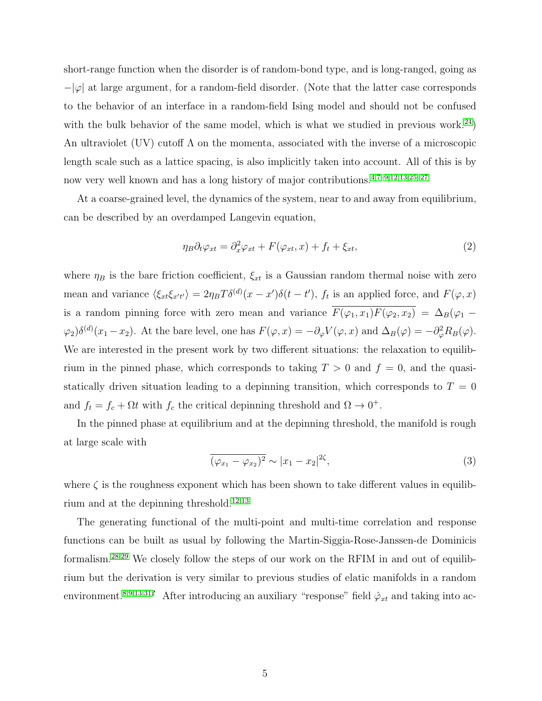short-range function when the disorder is of random-bond type, and is long-ranged, going as  $-\varphi$  at large argument, for a random-field disorder. (Note that the latter case corresponds to the behavior of an interface in a random-field Ising model and should not be confused with the bulk behavior of the same model, which is what we studied in previous work.<sup>[24](#page-36-0)</sup>) An ultraviolet (UV) cutoff Λ on the momenta, associated with the inverse of a microscopic length scale such as a lattice spacing, is also implicitly taken into account. All of this is by now very well known and has a long history of major contributions.[4](#page-35-2)[,7](#page-35-5)[–9](#page-35-6)[,12,](#page-35-9)[13](#page-35-10)[,25–](#page-36-1)[27](#page-36-2)

At a coarse-grained level, the dynamics of the system, near to and away from equilibrium, can be described by an overdamped Langevin equation,

<span id="page-4-0"></span>
$$
\eta_B \partial_t \varphi_{xt} = \partial_x^2 \varphi_{xt} + F(\varphi_{xt}, x) + f_t + \xi_{xt}, \tag{2}
$$

where  $\eta_B$  is the bare friction coefficient,  $\xi_{xt}$  is a Gaussian random thermal noise with zero mean and variance  $\langle \xi_{xt}\xi_{x't'}\rangle = 2\eta_B T \delta^{(d)}(x-x')\delta(t-t')$ ,  $f_t$  is an applied force, and  $F(\varphi, x)$ is a random pinning force with zero mean and variance  $\overline{F(\varphi_1, x_1)F(\varphi_2, x_2)} = \Delta_B(\varphi_1 - \varphi_2)$  $(\varphi_2)\delta^{(d)}(x_1-x_2)$ . At the bare level, one has  $F(\varphi, x) = -\partial_{\varphi}V(\varphi, x)$  and  $\Delta_B(\varphi) = -\partial_{\varphi}^2R_B(\varphi)$ . We are interested in the present work by two different situations: the relaxation to equilibrium in the pinned phase, which corresponds to taking  $T > 0$  and  $f = 0$ , and the quasistatically driven situation leading to a depinning transition, which corresponds to  $T = 0$ and  $f_t = f_c + \Omega t$  with  $f_c$  the critical depinning threshold and  $\Omega \to 0^+$ .

In the pinned phase at equilibrium and at the depinning threshold, the manifold is rough at large scale with

$$
\overline{(\varphi_{x_1} - \varphi_{x_2})^2} \sim |x_1 - x_2|^{2\zeta},\tag{3}
$$

where  $\zeta$  is the roughness exponent which has been shown to take different values in equilib-rium and at the depinning threshold.<sup>[12](#page-35-9)[,13](#page-35-10)</sup>

The generating functional of the multi-point and multi-time correlation and response functions can be built as usual by following the Martin-Siggia-Rose-Janssen-de Dominicis formalism.[28,](#page-36-3)[29](#page-36-4) We closely follow the steps of our work on the RFIM in and out of equilibrium but the derivation is very similar to previous studies of elatic manifolds in a random environment.<sup>[8](#page-35-7)[,9](#page-35-6)[,13,](#page-35-10)[31](#page-36-5)?</sup> After introducing an auxiliary "response" field  $\hat{\varphi}_{xt}$  and taking into ac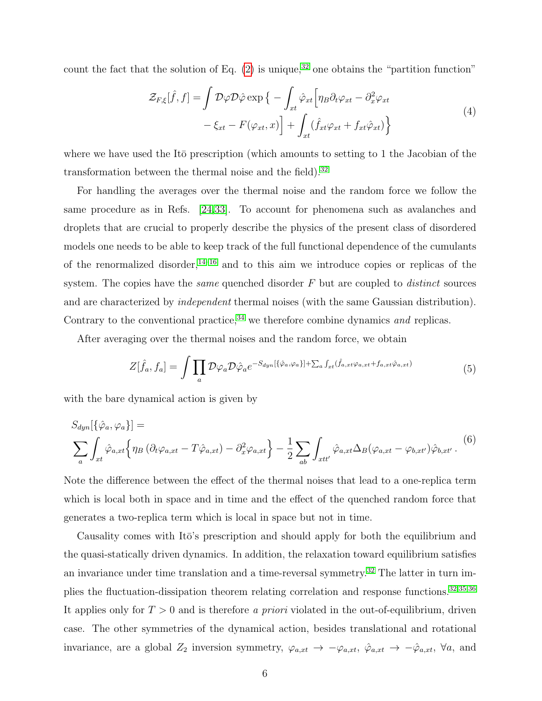count the fact that the solution of Eq.  $(2)$  is unique,<sup>[32](#page-36-6)</sup> one obtains the "partition function"

$$
\mathcal{Z}_{F,\xi}[\hat{f},f] = \int \mathcal{D}\varphi \mathcal{D}\hat{\varphi} \exp \{- \int_{xt} \hat{\varphi}_{xt} \left[ \eta_B \partial_t \varphi_{xt} - \partial_x^2 \varphi_{xt} \right. \\ - \xi_{xt} - F(\varphi_{xt},x) \right] + \int_{xt} (\hat{f}_{xt} \varphi_{xt} + f_{xt} \hat{\varphi}_{xt}) \Big\} \tag{4}
$$

where we have used the Itō prescription (which amounts to setting to 1 the Jacobian of the transformation between the thermal noise and the field). $32$ 

For handling the averages over the thermal noise and the random force we follow the same procedure as in Refs. [\[24,](#page-36-0)[33\]](#page-36-7). To account for phenomena such as avalanches and droplets that are crucial to properly describe the physics of the present class of disordered models one needs to be able to keep track of the full functional dependence of the cumulants of the renormalized disorder,  $14-16$  $14-16$  and to this aim we introduce copies or replicas of the system. The copies have the *same* quenched disorder  $F$  but are coupled to *distinct* sources and are characterized by independent thermal noises (with the same Gaussian distribution). Contrary to the conventional practice,  $34$  we therefore combine dynamics and replicas.

After averaging over the thermal noises and the random force, we obtain

$$
Z[\hat{f}_a, f_a] = \int \prod_a \mathcal{D}\varphi_a \mathcal{D}\hat{\varphi}_a e^{-S_{dyn}[\{\hat{\varphi}_a, \varphi_a\}]+\sum_a \int_{xt}(\hat{f}_{a,xt}\varphi_{a,xt}+f_{a,xt}\hat{\varphi}_{a,xt})}
$$
(5)

with the bare dynamical action is given by

<span id="page-5-0"></span>
$$
S_{dyn}[\{\hat{\varphi}_a, \varphi_a\}] =
$$
  

$$
\sum_a \int_{xt} \hat{\varphi}_{a,xt} \{\eta_B (\partial_t \varphi_{a,xt} - T\hat{\varphi}_{a,xt}) - \partial_x^2 \varphi_{a,xt}\} - \frac{1}{2} \sum_{ab} \int_{xtt'} \hat{\varphi}_{a,xt} \Delta_B (\varphi_{a,xt} - \varphi_{b,xt'}) \hat{\varphi}_{b,xt'}.
$$
 (6)

Note the difference between the effect of the thermal noises that lead to a one-replica term which is local both in space and in time and the effect of the quenched random force that generates a two-replica term which is local in space but not in time.

Causality comes with Itō's prescription and should apply for both the equilibrium and the quasi-statically driven dynamics. In addition, the relaxation toward equilibrium satisfies an invariance under time translation and a time-reversal symmetry.<sup>[32](#page-36-6)</sup> The latter in turn im-plies the fluctuation-dissipation theorem relating correlation and response functions.<sup>[32](#page-36-6)[,35](#page-36-9)[,36](#page-36-10)</sup> It applies only for  $T > 0$  and is therefore a priori violated in the out-of-equilibrium, driven case. The other symmetries of the dynamical action, besides translational and rotational invariance, are a global  $Z_2$  inversion symmetry,  $\varphi_{a,xt} \to -\varphi_{a,xt}$ ,  $\hat{\varphi}_{a,xt} \to -\hat{\varphi}_{a,xt}$ ,  $\forall a$ , and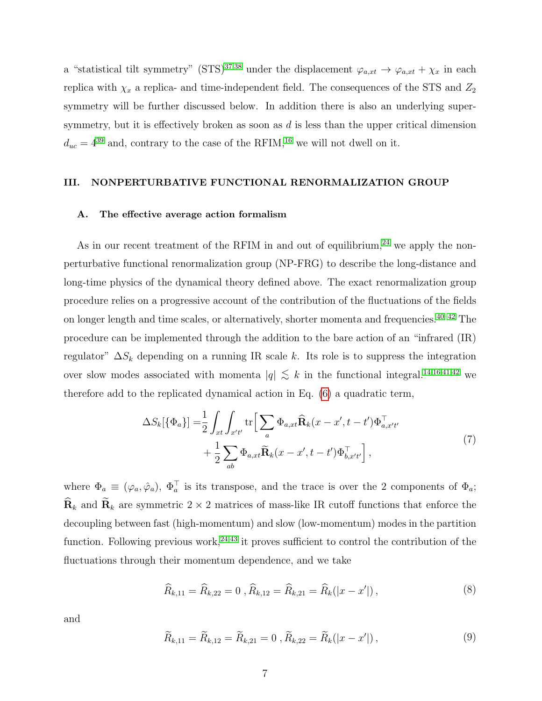a "statistical tilt symmetry" (STS)<sup>[37](#page-36-11)[,38](#page-36-12)</sup> under the displacement  $\varphi_{a,xt} \to \varphi_{a,xt} + \chi_x$  in each replica with  $\chi_x$  a replica- and time-independent field. The consequences of the STS and  $Z_2$ symmetry will be further discussed below. In addition there is also an underlying supersymmetry, but it is effectively broken as soon as  $d$  is less than the upper critical dimension  $d_{uc} = 4^{39}$  $d_{uc} = 4^{39}$  $d_{uc} = 4^{39}$  and, contrary to the case of the RFIM,<sup>[16](#page-35-15)</sup> we will not dwell on it.

# III. NONPERTURBATIVE FUNCTIONAL RENORMALIZATION GROUP

### A. The effective average action formalism

As in our recent treatment of the RFIM in and out of equilibrium, $^{24}$  $^{24}$  $^{24}$  we apply the nonperturbative functional renormalization group (NP-FRG) to describe the long-distance and long-time physics of the dynamical theory defined above. The exact renormalization group procedure relies on a progressive account of the contribution of the fluctuations of the fields on longer length and time scales, or alternatively, shorter momenta and frequencies.  $40-42$  $40-42$  The procedure can be implemented through the addition to the bare action of an "infrared (IR) regulator"  $\Delta S_k$  depending on a running IR scale k. Its role is to suppress the integration over slow modes associated with momenta  $|q| \leq k$  in the functional integral.<sup>[14,](#page-35-8)[16,](#page-35-15)[41](#page-36-16)[,42](#page-36-15)</sup> we therefore add to the replicated dynamical action in Eq. [\(6\)](#page-5-0) a quadratic term,

$$
\Delta S_k[\{\Phi_a\}] = \frac{1}{2} \int_{xt} \int_{x't'} \text{tr}\Big[\sum_a \Phi_{a,xt} \widehat{\mathbf{R}}_k(x - x', t - t') \Phi_{a,x't'}^{\top} + \frac{1}{2} \sum_{ab} \Phi_{a,xt} \widetilde{\mathbf{R}}_k(x - x', t - t') \Phi_{b,x't'}^{\top} \Big],\tag{7}
$$

where  $\Phi_a \equiv (\varphi_a, \hat{\varphi}_a), \Phi_a^{\top}$  is its transpose, and the trace is over the 2 components of  $\Phi_a$ ;  $\widehat{\mathbf{R}}_k$  and  $\widetilde{\mathbf{R}}_k$  are symmetric 2 × 2 matrices of mass-like IR cutoff functions that enforce the decoupling between fast (high-momentum) and slow (low-momentum) modes in the partition function. Following previous work,  $24,43$  $24,43$  it proves sufficient to control the contribution of the fluctuations through their momentum dependence, and we take

<span id="page-6-0"></span>
$$
\widehat{R}_{k,11} = \widehat{R}_{k,22} = 0 , \widehat{R}_{k,12} = \widehat{R}_{k,21} = \widehat{R}_k(|x - x'|) , \qquad (8)
$$

and

<span id="page-6-1"></span>
$$
\widetilde{R}_{k,11} = \widetilde{R}_{k,12} = \widetilde{R}_{k,21} = 0 , \widetilde{R}_{k,22} = \widetilde{R}_k(|x - x'|) , \qquad (9)
$$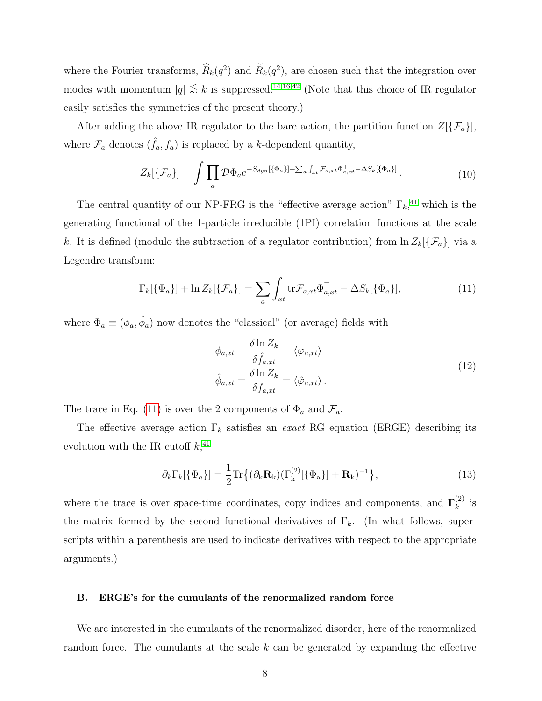where the Fourier transforms,  $\hat{R}_k(q^2)$  and  $\hat{R}_k(q^2)$ , are chosen such that the integration over modes with momentum  $|q| \lesssim k$  is suppressed.<sup>[14](#page-35-8)[,16,](#page-35-15)[42](#page-36-15)</sup> (Note that this choice of IR regulator easily satisfies the symmetries of the present theory.)

After adding the above IR regulator to the bare action, the partition function  $Z[\{\mathcal{F}_a\}]$ , where  $\mathcal{F}_a$  denotes  $(\hat{f}_a, f_a)$  is replaced by a k-dependent quantity,

$$
Z_k[\{\mathcal{F}_a\}] = \int \prod_a \mathcal{D}\Phi_a e^{-S_{dyn}[\{\Phi_a\}]+\sum_a \int_{xt} \mathcal{F}_{a,xt}\Phi_{a,xt}^\top - \Delta S_k[\{\Phi_a\}]}.
$$
 (10)

The central quantity of our NP-FRG is the "effective average action"  $\Gamma_k$ <sup>[41](#page-36-16)</sup>, which is the generating functional of the 1-particle irreducible (1PI) correlation functions at the scale k. It is defined (modulo the subtraction of a regulator contribution) from  $\ln Z_k[\{\mathcal{F}_a\}]$  via a Legendre transform:

<span id="page-7-0"></span>
$$
\Gamma_k[\{\Phi_a\}] + \ln Z_k[\{\mathcal{F}_a\}] = \sum_a \int_{xt} \text{tr}\mathcal{F}_{a,xt}\Phi_{a,xt}^\top - \Delta S_k[\{\Phi_a\}], \tag{11}
$$

where  $\Phi_a \equiv (\phi_a, \hat{\phi}_a)$  now denotes the "classical" (or average) fields with

$$
\phi_{a,xt} = \frac{\delta \ln Z_k}{\delta \hat{f}_{a,xt}} = \langle \varphi_{a,xt} \rangle
$$
  

$$
\hat{\phi}_{a,xt} = \frac{\delta \ln Z_k}{\delta f_{a,xt}} = \langle \hat{\varphi}_{a,xt} \rangle.
$$
 (12)

The trace in Eq. [\(11\)](#page-7-0) is over the 2 components of  $\Phi_a$  and  $\mathcal{F}_a$ .

The effective average action  $\Gamma_k$  satisfies an exact RG equation (ERGE) describing its evolution with the IR cutoff  $k,$ <sup>[41](#page-36-16)</sup>

<span id="page-7-1"></span>
$$
\partial_k \Gamma_k[\{\Phi_a\}] = \frac{1}{2} \text{Tr}\{(\partial_k \mathbf{R}_k)(\Gamma_k^{(2)}[\{\Phi_a\}] + \mathbf{R}_k)^{-1}\},\tag{13}
$$

where the trace is over space-time coordinates, copy indices and components, and  $\Gamma_k^{(2)}$  $\begin{matrix} (2) \\ k \end{matrix}$  is the matrix formed by the second functional derivatives of  $\Gamma_k$ . (In what follows, superscripts within a parenthesis are used to indicate derivatives with respect to the appropriate arguments.)

## B. ERGE's for the cumulants of the renormalized random force

We are interested in the cumulants of the renormalized disorder, here of the renormalized random force. The cumulants at the scale  $k$  can be generated by expanding the effective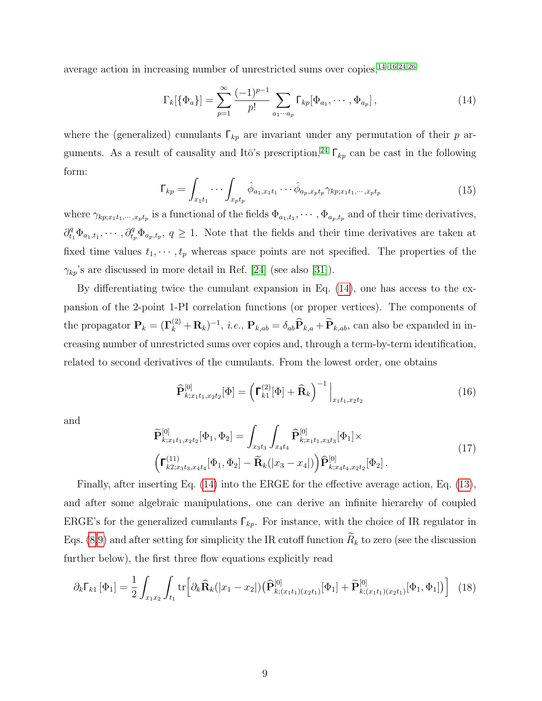average action in increasing number of unrestricted sums over copies,[14](#page-35-8)[–16](#page-35-15)[,24,](#page-36-0)[26](#page-36-18)

<span id="page-8-0"></span>
$$
\Gamma_k[\{\Phi_a\}] = \sum_{p=1}^{\infty} \frac{(-1)^{p-1}}{p!} \sum_{a_1 \cdots a_p} \Gamma_{kp}[\Phi_{a_1}, \cdots, \Phi_{a_p}], \qquad (14)
$$

where the (generalized) cumulants  $\Gamma_{kp}$  are invariant under any permutation of their p ar-guments. As a result of causality and Itō's prescription,<sup>[24](#page-36-0)</sup>  $\Gamma_{kp}$  can be cast in the following form:

<span id="page-8-1"></span>
$$
\Gamma_{kp} = \int_{x_1t_1} \cdots \int_{x_pt_p} \hat{\phi}_{a_1,x_1t_1} \cdots \hat{\phi}_{a_p,x_pt_p} \gamma_{kp;x_1t_1,\cdots,x_pt_p}
$$
\n(15)

where  $\gamma_{kp;x_1t_1,\dots,x_pt_p}$  is a functional of the fields  $\Phi_{a_1,t_1},\dots,\Phi_{a_p,t_p}$  and of their time derivatives,  $\partial_{t_1}^q \Phi_{a_1,t_1},\cdots,\partial_{t_p}^q \Phi_{a_p,t_p},\ q\geq 1.$  Note that the fields and their time derivatives are taken at fixed time values  $t_1, \dots, t_p$  whereas space points are not specified. The properties of the  $\gamma_{kp}$ 's are discussed in more detail in Ref. [\[24\]](#page-36-0) (see also [\[31\]](#page-36-5)).

By differentiating twice the cumulant expansion in Eq. [\(14\)](#page-8-0), one has access to the expansion of the 2-point 1-PI correlation functions (or proper vertices). The components of the propagator  $\mathbf{P}_k = (\mathbf{\Gamma}_k^{(2)} + \mathbf{R}_k)^{-1}$ , *i.e.*,  $\mathbf{P}_{k,ab} = \delta_{ab} \widehat{\mathbf{P}}_{k,a} + \widetilde{\mathbf{P}}_{k,ab}$ , can also be expanded in increasing number of unrestricted sums over copies and, through a term-by-term identification, related to second derivatives of the cumulants. From the lowest order, one obtains

<span id="page-8-3"></span>
$$
\widehat{\mathbf{P}}_{k;x_1t_1,x_2t_2}^{[0]}[\Phi] = \left(\mathbf{\Gamma}_{k1}^{(2)}[\Phi] + \widehat{\mathbf{R}}_k\right)^{-1}\Big|_{x_1t_1,x_2t_2}
$$
\n(16)

and

<span id="page-8-4"></span>
$$
\widetilde{\mathbf{P}}_{k;x_1t_1,x_2t_2}^{[0]}[\Phi_1,\Phi_2] = \int_{x_3t_3} \int_{x_4t_4} \widehat{\mathbf{P}}_{k;x_1t_1,x_3t_3}^{[0]}[\Phi_1] \times \n\left(\mathbf{\Gamma}_{k2;x_3t_3,x_4t_4}^{(11)}[\Phi_1,\Phi_2] - \widetilde{\mathbf{R}}_k(|x_3 - x_4|)\right) \widehat{\mathbf{P}}_{k;x_4t_4,x_2t_2}^{[0]}[\Phi_2].
$$
\n(17)

Finally, after inserting Eq. [\(14\)](#page-8-0) into the ERGE for the effective average action, Eq. [\(13\)](#page-7-1), and after some algebraic manipulations, one can derive an infinite hierarchy of coupled ERGE's for the generalized cumulants  $\Gamma_{kp}$ . For instance, with the choice of IR regulator in Eqs. [\(8,](#page-6-0)[9\)](#page-6-1) and after setting for simplicity the IR cutoff function  $\widetilde{R}_k$  to zero (see the discussion further below), the first three flow equations explicitly read

<span id="page-8-2"></span>
$$
\partial_k \Gamma_{k1} \left[ \Phi_1 \right] = \frac{1}{2} \int_{x_1 x_2} \int_{t_1} tr \left[ \partial_k \widehat{\mathbf{R}}_k (|x_1 - x_2|) \left( \widehat{\mathbf{P}}_{k;(x_1 t_1)(x_2 t_1)}^{[0]} [\Phi_1] + \widetilde{\mathbf{P}}_{k;(x_1 t_1)(x_2 t_1)}^{[0]} [\Phi_1, \Phi_1] \right) \right] \tag{18}
$$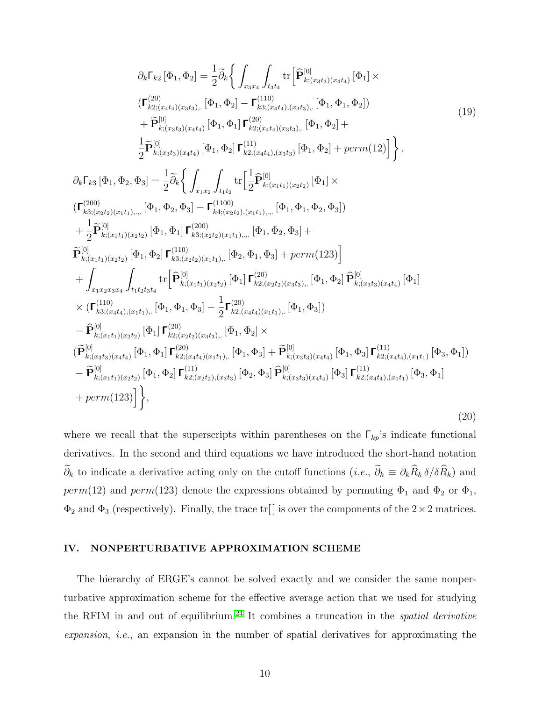<span id="page-9-0"></span>
$$
\partial_{k}\Gamma_{k2}[\Phi_{1},\Phi_{2}] = \frac{1}{2}\tilde{\partial}_{k}\Big\{\int_{x_{3}x_{4}}\int_{t_{3}t_{4}}\text{tr}\Big[\hat{\mathbf{P}}_{k;(x_{3}t_{3})(x_{4}t_{4})}^{[0]}(\Phi_{1}) \times \left(\mathbf{\Gamma}_{k2;(x_{4}t_{4})(x_{3}t_{3})}^{(20)}\right] \times \left(\mathbf{\Gamma}_{k2;(x_{4}t_{4})(x_{3}t_{3})}^{(20)}\right] - \mathbf{\Gamma}_{k3;(x_{4}t_{4})(x_{3}t_{3})}^{(10)}[\Phi_{1},\Phi_{2}] + \frac{1}{2}\tilde{\mathbf{P}}_{k;(x_{3}t_{3})(x_{4}t_{4})}^{[0]}(\Phi_{1},\Phi_{2}]\mathbf{\Gamma}_{k2;(x_{4}t_{4})(x_{3}t_{3})}^{(11)}(\Phi_{1},\Phi_{2}) + \frac{1}{2}\tilde{\mathbf{P}}_{k;(x_{3}t_{3})(x_{4}t_{4})}^{[0]}(\Phi_{1},\Phi_{2}]\mathbf{\Gamma}_{k2;(x_{4}t_{4})(x_{3}t_{3})}^{(11)}(\Phi_{1},\Phi_{2}) + perm(12)\Big]\Big\},
$$
\n
$$
\partial_{k}\Gamma_{k3}[\Phi_{1},\Phi_{2},\Phi_{3}] = \frac{1}{2}\tilde{\partial}_{k}\Big\{\int_{x_{1}x_{2}}\int_{t_{1}t_{2}}\text{tr}\Big[\frac{1}{2}\hat{\mathbf{P}}_{k;(x_{1}t_{1})(x_{2}t_{2})}^{[0]}(\Phi_{1}|\times\left(\mathbf{\Gamma}_{k3;(x_{2}t_{2})(x_{1}t_{1})},...|\Phi_{1},\Phi_{2},\Phi_{3}]\right) + \frac{1}{2}\tilde{\mathbf{P}}_{k;(x_{1}t_{1})(x_{2}t_{2})}^{[0]}(\Phi_{1},\Phi_{1}]\mathbf{\Gamma}_{k3;(x_{2}t_{2})(x_{1}t_{1})}^{(110)}(\Phi_{1},\Phi_{1},\Phi_{2},\Phi_{3}) + \frac{1}{2}\tilde{\mathbf{P}}_{k;(x_{1}t_{1})(x_{2}t_{2})}^{[0]}(\Phi_{1},\Phi_{1}]\mathbf{\Gamma}_{k3;(x_{2}t_{2})(x_{1}t_{
$$

<span id="page-9-1"></span>where we recall that the superscripts within parentheses on the  $\Gamma_{kp}$ 's indicate functional derivatives. In the second and third equations we have introduced the short-hand notation  $\widetilde{\partial}_k$  to indicate a derivative acting only on the cutoff functions  $(i.e., \widetilde{\partial}_k \equiv \partial_k \widehat{R}_k \delta / \delta \widehat{R}_k)$  and  $perm(12)$  and  $perm(123)$  denote the expressions obtained by permuting  $\Phi_1$  and  $\Phi_2$  or  $\Phi_1$ ,  $\Phi_2$  and  $\Phi_3$  (respectively). Finally, the trace tr[] is over the components of the  $2 \times 2$  matrices.

#### <span id="page-9-2"></span>IV. NONPERTURBATIVE APPROXIMATION SCHEME

The hierarchy of ERGE's cannot be solved exactly and we consider the same nonperturbative approximation scheme for the effective average action that we used for studying the RFIM in and out of equilibrium.<sup>[24](#page-36-0)</sup> It combines a truncation in the *spatial derivative* expansion, i.e., an expansion in the number of spatial derivatives for approximating the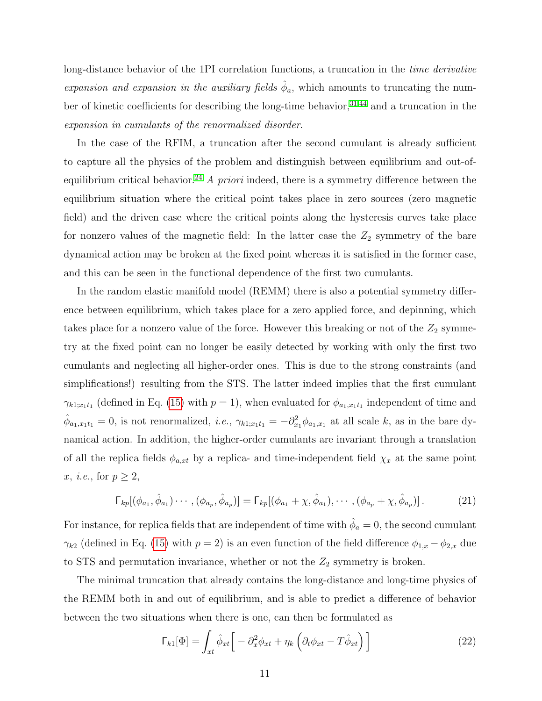long-distance behavior of the 1PI correlation functions, a truncation in the time derivative expansion and expansion in the auxiliary fields  $\hat{\phi}_a$ , which amounts to truncating the number of kinetic coefficients for describing the long-time behavior,  $31,44$  $31,44$  and a truncation in the expansion in cumulants of the renormalized disorder.

In the case of the RFIM, a truncation after the second cumulant is already sufficient to capture all the physics of the problem and distinguish between equilibrium and out-of-equilibrium critical behavior.<sup>[24](#page-36-0)</sup> A priori indeed, there is a symmetry difference between the equilibrium situation where the critical point takes place in zero sources (zero magnetic field) and the driven case where the critical points along the hysteresis curves take place for nonzero values of the magnetic field: In the latter case the  $Z_2$  symmetry of the bare dynamical action may be broken at the fixed point whereas it is satisfied in the former case, and this can be seen in the functional dependence of the first two cumulants.

In the random elastic manifold model (REMM) there is also a potential symmetry difference between equilibrium, which takes place for a zero applied force, and depinning, which takes place for a nonzero value of the force. However this breaking or not of the  $Z_2$  symmetry at the fixed point can no longer be easily detected by working with only the first two cumulants and neglecting all higher-order ones. This is due to the strong constraints (and simplifications!) resulting from the STS. The latter indeed implies that the first cumulant  $\gamma_{k1;x_1t_1}$  (defined in Eq. [\(15\)](#page-8-1) with  $p=1$ ), when evaluated for  $\phi_{a_1,x_1t_1}$  independent of time and  $\hat{\phi}_{a_1,x_1t_1} = 0$ , is not renormalized, *i.e.*,  $\gamma_{k1;x_1t_1} = -\partial_{x_1}^2 \phi_{a_1,x_1}$  at all scale k, as in the bare dynamical action. In addition, the higher-order cumulants are invariant through a translation of all the replica fields  $\phi_{a,xt}$  by a replica- and time-independent field  $\chi_x$  at the same point x, *i.e.*, for  $p \geq 2$ ,

$$
\Gamma_{kp}[(\phi_{a_1}, \hat{\phi}_{a_1}) \cdots , (\phi_{a_p}, \hat{\phi}_{a_p})] = \Gamma_{kp}[(\phi_{a_1} + \chi, \hat{\phi}_{a_1}), \cdots , (\phi_{a_p} + \chi, \hat{\phi}_{a_p})].
$$
 (21)

For instance, for replica fields that are independent of time with  $\hat{\phi}_a = 0$ , the second cumulant  $\gamma_{k2}$  (defined in Eq. [\(15\)](#page-8-1) with  $p = 2$ ) is an even function of the field difference  $\phi_{1,x} - \phi_{2,x}$  due to STS and permutation invariance, whether or not the  $Z_2$  symmetry is broken.

The minimal truncation that already contains the long-distance and long-time physics of the REMM both in and out of equilibrium, and is able to predict a difference of behavior between the two situations when there is one, can then be formulated as

<span id="page-10-0"></span>
$$
\Gamma_{k1}[\Phi] = \int_{xt} \hat{\phi}_{xt} \left[ -\partial_x^2 \phi_{xt} + \eta_k \left( \partial_t \phi_{xt} - T \hat{\phi}_{xt} \right) \right]
$$
(22)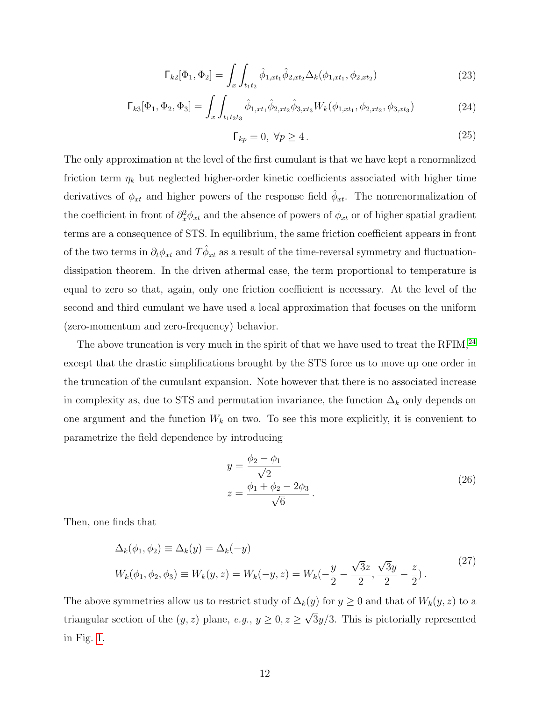<span id="page-11-2"></span>
$$
\Gamma_{k2}[\Phi_1, \Phi_2] = \int_x \int_{t_1 t_2} \hat{\phi}_{1,xt_1} \hat{\phi}_{2,xt_2} \Delta_k(\phi_{1,xt_1}, \phi_{2,xt_2}) \tag{23}
$$

<span id="page-11-0"></span>
$$
\Gamma_{k3}[\Phi_1, \Phi_2, \Phi_3] = \int_x \int_{t_1 t_2 t_3} \hat{\phi}_{1,xt_1} \hat{\phi}_{2,xt_2} \hat{\phi}_{3,xt_3} W_k(\phi_{1,xt_1}, \phi_{2,xt_2}, \phi_{3,xt_3}) \tag{24}
$$

<span id="page-11-1"></span>
$$
\Gamma_{kp} = 0, \ \forall p \ge 4. \tag{25}
$$

The only approximation at the level of the first cumulant is that we have kept a renormalized friction term  $\eta_k$  but neglected higher-order kinetic coefficients associated with higher time derivatives of  $\phi_{xt}$  and higher powers of the response field  $\hat{\phi}_{xt}$ . The nonrenormalization of the coefficient in front of  $\partial_x^2 \phi_{xt}$  and the absence of powers of  $\phi_{xt}$  or of higher spatial gradient terms are a consequence of STS. In equilibrium, the same friction coefficient appears in front of the two terms in  $\partial_t \phi_{xt}$  and  $T\hat{\phi}_{xt}$  as a result of the time-reversal symmetry and fluctuationdissipation theorem. In the driven athermal case, the term proportional to temperature is equal to zero so that, again, only one friction coefficient is necessary. At the level of the second and third cumulant we have used a local approximation that focuses on the uniform (zero-momentum and zero-frequency) behavior.

The above truncation is very much in the spirit of that we have used to treat the RFIM, $^{24}$  $^{24}$  $^{24}$ except that the drastic simplifications brought by the STS force us to move up one order in the truncation of the cumulant expansion. Note however that there is no associated increase in complexity as, due to STS and permutation invariance, the function  $\Delta_k$  only depends on one argument and the function  $W_k$  on two. To see this more explicitly, it is convenient to parametrize the field dependence by introducing

<span id="page-11-3"></span>
$$
y = \frac{\phi_2 - \phi_1}{\sqrt{2}}z = \frac{\phi_1 + \phi_2 - 2\phi_3}{\sqrt{6}}.
$$
 (26)

Then, one finds that

$$
\Delta_k(\phi_1, \phi_2) \equiv \Delta_k(y) = \Delta_k(-y) W_k(\phi_1, \phi_2, \phi_3) \equiv W_k(y, z) = W_k(-y, z) = W_k(-\frac{y}{2} - \frac{\sqrt{3}z}{2}, \frac{\sqrt{3}y}{2} - \frac{z}{2}).
$$
\n(27)

The above symmetries allow us to restrict study of  $\Delta_k(y)$  for  $y \ge 0$  and that of  $W_k(y, z)$  to a triangular section of the  $(y, z)$  plane,  $e.g., y \geq 0, z \geq 0$ √  $3y/3$ . This is pictorially represented in Fig. [1.](#page-12-0)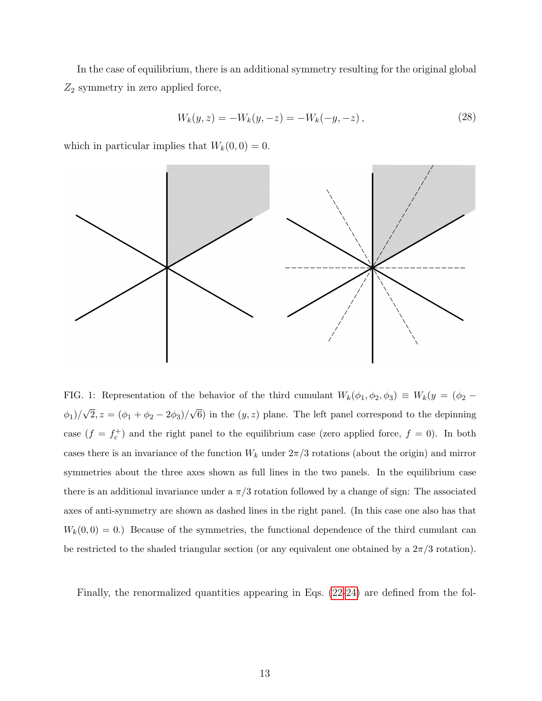In the case of equilibrium, there is an additional symmetry resulting for the original global  $Z_2$  symmetry in zero applied force,

$$
W_k(y, z) = -W_k(y, -z) = -W_k(-y, -z), \qquad (28)
$$

which in particular implies that  $W_k(0, 0) = 0$ .



<span id="page-12-0"></span>FIG. 1: Representation of the behavior of the third cumulant  $W_k(\phi_1, \phi_2, \phi_3) \equiv W_k(y) = (\phi_2 \phi_1)/$ √  $2, z = (\phi_1 + \phi_2 - 2\phi_3)/$ √ 6) in the  $(y, z)$  plane. The left panel correspond to the depinning case  $(f = f_c^+)$  and the right panel to the equilibrium case (zero applied force,  $f = 0$ ). In both cases there is an invariance of the function  $W_k$  under  $2\pi/3$  rotations (about the origin) and mirror symmetries about the three axes shown as full lines in the two panels. In the equilibrium case there is an additional invariance under a  $\pi/3$  rotation followed by a change of sign: The associated axes of anti-symmetry are shown as dashed lines in the right panel. (In this case one also has that  $W_k(0,0) = 0.$ ) Because of the symmetries, the functional dependence of the third cumulant can be restricted to the shaded triangular section (or any equivalent one obtained by a  $2\pi/3$  rotation).

Finally, the renormalized quantities appearing in Eqs. [\(22-](#page-10-0)[24\)](#page-11-0) are defined from the fol-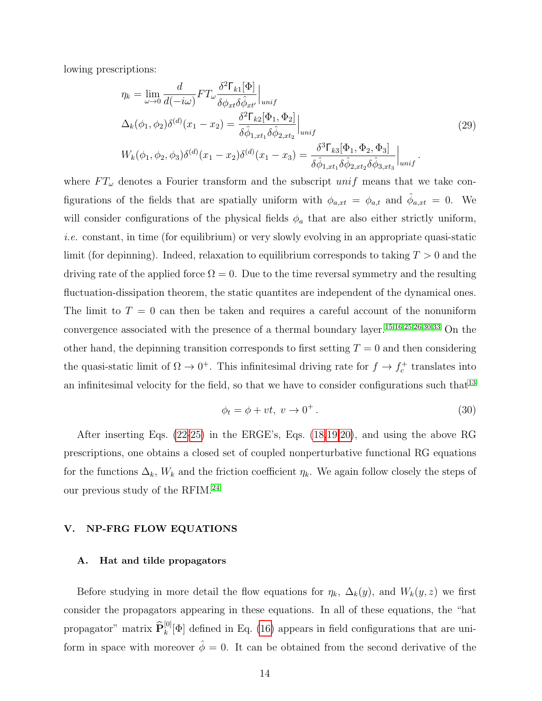lowing prescriptions:

$$
\eta_k = \lim_{\omega \to 0} \frac{d}{d(-i\omega)} F T_\omega \frac{\delta^2 \Gamma_{k1}[\Phi]}{\delta \phi_{xt} \delta \hat{\phi}_{xt'}} \Big|_{unif}
$$
\n
$$
\Delta_k(\phi_1, \phi_2) \delta^{(d)}(x_1 - x_2) = \frac{\delta^2 \Gamma_{k2}[\Phi_1, \Phi_2]}{\delta \hat{\phi}_{1,xt_1} \delta \hat{\phi}_{2,xt_2}} \Big|_{unif}
$$
\n
$$
W_k(\phi_1, \phi_2, \phi_3) \delta^{(d)}(x_1 - x_2) \delta^{(d)}(x_1 - x_3) = \frac{\delta^3 \Gamma_{k3}[\Phi_1, \Phi_2, \Phi_3]}{\delta \hat{\phi}_{1,xt_1} \delta \hat{\phi}_{2,xt_2} \delta \hat{\phi}_{3,xt_3}} \Big|_{unif}.
$$
\n(29)

where  $FT_{\omega}$  denotes a Fourier transform and the subscript  $unif$  means that we take configurations of the fields that are spatially uniform with  $\phi_{a,xt} = \phi_{a,t}$  and  $\hat{\phi}_{a,xt} = 0$ . We will consider configurations of the physical fields  $\phi_a$  that are also either strictly uniform, i.e. constant, in time (for equilibrium) or very slowly evolving in an appropriate quasi-static limit (for depinning). Indeed, relaxation to equilibrium corresponds to taking  $T > 0$  and the driving rate of the applied force  $\Omega = 0$ . Due to the time reversal symmetry and the resulting fluctuation-dissipation theorem, the static quantities are independent of the dynamical ones. The limit to  $T = 0$  can then be taken and requires a careful account of the nonuniform convergence associated with the presence of a thermal boundary layer.[15,](#page-35-16)[16](#page-35-15)[,25,](#page-36-1)[26](#page-36-18)[,30,](#page-36-20)[33](#page-36-7) On the other hand, the depinning transition corresponds to first setting  $T = 0$  and then considering the quasi-static limit of  $\Omega \to 0^+$ . This infinitesimal driving rate for  $f \to f_c^+$  translates into an infinitesimal velocity for the field, so that we have to consider configurations such that  $13$ 

$$
\phi_t = \phi + vt, \ v \to 0^+ \,. \tag{30}
$$

After inserting Eqs. [\(22](#page-10-0)[-25\)](#page-11-1) in the ERGE's, Eqs. [\(18](#page-8-2)[,19](#page-9-0)[,20\)](#page-9-1), and using the above RG prescriptions, one obtains a closed set of coupled nonperturbative functional RG equations for the functions  $\Delta_k$ ,  $W_k$  and the friction coefficient  $\eta_k$ . We again follow closely the steps of our previous study of the RFIM.[24](#page-36-0)

### <span id="page-13-0"></span>V. NP-FRG FLOW EQUATIONS

#### A. Hat and tilde propagators

Before studying in more detail the flow equations for  $\eta_k$ ,  $\Delta_k(y)$ , and  $W_k(y, z)$  we first consider the propagators appearing in these equations. In all of these equations, the "hat propagator" matrix  $\widehat{\mathbf{P}}_k^{[0]}[\Phi]$  defined in Eq. [\(16\)](#page-8-3) appears in field configurations that are uniform in space with moreover  $\hat{\phi} = 0$ . It can be obtained from the second derivative of the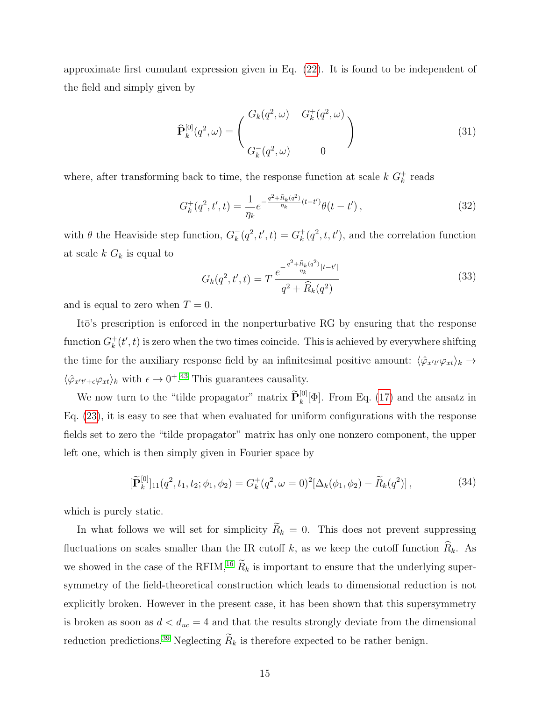approximate first cumulant expression given in Eq. [\(22\)](#page-10-0). It is found to be independent of the field and simply given by

$$
\widehat{\mathbf{P}}_{k}^{[0]}(q^2,\omega) = \begin{pmatrix} G_k(q^2,\omega) & G_k^+(q^2,\omega) \\ & \\ G_k^-(q^2,\omega) & 0 \end{pmatrix}
$$
\n(31)

where, after transforming back to time, the response function at scale  $k G_k^+$  reads

$$
G_k^+(q^2, t', t) = \frac{1}{\eta_k} e^{-\frac{q^2 + \hat{R}_k(q^2)}{\eta_k}(t - t')} \theta(t - t'), \qquad (32)
$$

with  $\theta$  the Heaviside step function,  $G_k^ _{k}^{-}(q^{2},t^{\prime},t)=G_{k}^{+}% (q^{2},t^{\prime},t^{\prime},t)=G_{k}^{-}(q^{2},t^{\prime},t^{\prime},t)$  $_{k}^{+}(q^2, t, t')$ , and the correlation function at scale  $k G_k$  is equal to

$$
G_k(q^2, t', t) = T \frac{e^{-\frac{q^2 + \widehat{R}_k(q^2)}{\eta_k}|t - t'|}}{q^2 + \widehat{R}_k(q^2)}
$$
(33)

and is equal to zero when  $T = 0$ .

It<sub>o</sub>'s prescription is enforced in the nonperturbative RG by ensuring that the response function  $G_k^+$  $k(t',t)$  is zero when the two times coincide. This is achieved by everywhere shifting the time for the auxiliary response field by an infinitesimal positive amount:  $\langle \hat{\varphi}_{x't'} \varphi_{xt} \rangle_k \to$  $\langle \hat{\varphi}_{x't'+\epsilon} \varphi_{xt} \rangle_k$  with  $\epsilon \to 0^{+.43}$  $\epsilon \to 0^{+.43}$  $\epsilon \to 0^{+.43}$  This guarantees causality.

We now turn to the "tilde propagator" matrix  $\tilde{\mathbf{P}}_k^{[0]}[\Phi]$ . From Eq. [\(17\)](#page-8-4) and the ansatz in Eq. [\(23\)](#page-11-2), it is easy to see that when evaluated for uniform configurations with the response fields set to zero the "tilde propagator" matrix has only one nonzero component, the upper left one, which is then simply given in Fourier space by

$$
[\widetilde{\mathbf{P}}_k^{[0]}]_{11}(q^2, t_1, t_2; \phi_1, \phi_2) = G_k^+(q^2, \omega = 0)^2 [\Delta_k(\phi_1, \phi_2) - \widetilde{R}_k(q^2)],\tag{34}
$$

which is purely static.

In what follows we will set for simplicity  $\widetilde{R}_k = 0$ . This does not prevent suppressing fluctuations on scales smaller than the IR cutoff k, as we keep the cutoff function  $\widehat{R}_k$ . As we showed in the case of the RFIM,<sup>[16](#page-35-15)</sup>  $\widetilde{R}_k$  is important to ensure that the underlying supersymmetry of the field-theoretical construction which leads to dimensional reduction is not explicitly broken. However in the present case, it has been shown that this supersymmetry is broken as soon as  $d < d_{uc} = 4$  and that the results strongly deviate from the dimensional reduction predictions.<sup>[39](#page-36-13)</sup> Neglecting  $\widetilde{R}_k$  is therefore expected to be rather benign.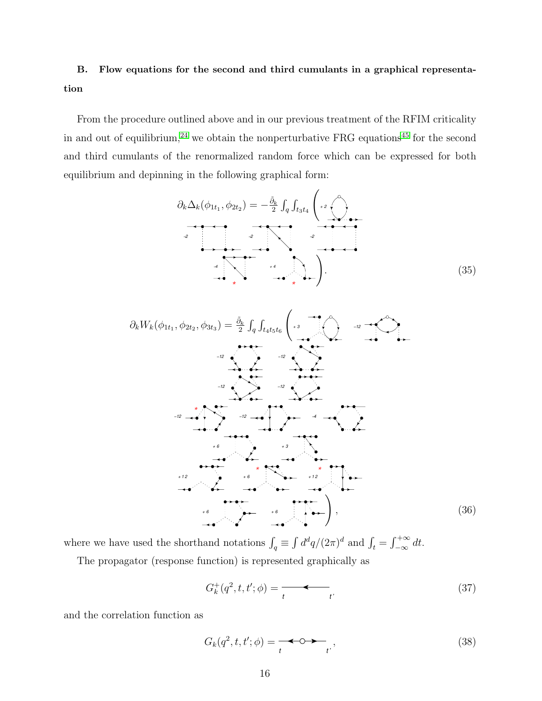# B. Flow equations for the second and third cumulants in a graphical representation

From the procedure outlined above and in our previous treatment of the RFIM criticality in and out of equilibrium,<sup>[24](#page-36-0)</sup> we obtain the nonperturbative FRG equations<sup>[45](#page-36-21)</sup> for the second and third cumulants of the renormalized random force which can be expressed for both equilibrium and depinning in the following graphical form:

<span id="page-15-2"></span>
$$
\partial_k \Delta_k(\phi_{1t_1}, \phi_{2t_2}) = -\frac{\tilde{\partial}_k}{2} \int_q \int_{t_3t_4} \left( \begin{array}{c} 2 \\ 1 \end{array} \right)
$$

<span id="page-15-3"></span>∂kWk(φ1t<sup>1</sup> , φ2t<sup>2</sup> , φ3t<sup>3</sup> ) = <sup>∂</sup>˜ k 2 R q R t4t5t<sup>6</sup> + 3 −12 −12 −12 −12 −12 −12 −12 −4 \* + 6 + 3 +12 + 6 +12 \* \* +6 +6 ! , (36)

where we have used the shorthand notations  $\int_q \equiv \int d^dq/(2\pi)^d$  and  $\int_t = \int_{-\infty}^{+\infty} dt$ . The propagator (response function) is represented graphically as

<span id="page-15-0"></span>
$$
G_k^+(q^2, t, t'; \phi) = \underbrace{\qquad \qquad}_{t} \qquad \qquad t'} \tag{37}
$$

and the correlation function as

<span id="page-15-1"></span>
$$
G_k(q^2, t, t'; \phi) = \underbrace{\bullet \bullet \bullet \bullet}_{t'}, \tag{38}
$$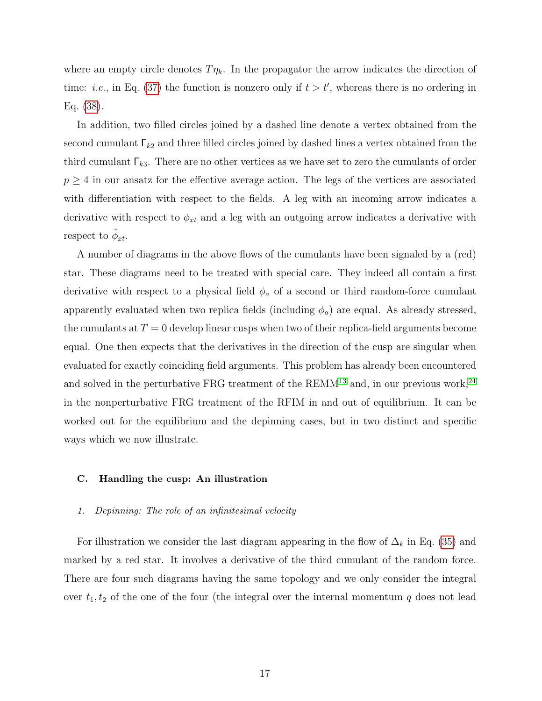where an empty circle denotes  $T\eta_k$ . In the propagator the arrow indicates the direction of time: *i.e.*, in Eq. [\(37\)](#page-15-0) the function is nonzero only if  $t > t'$ , whereas there is no ordering in Eq. [\(38\)](#page-15-1).

In addition, two filled circles joined by a dashed line denote a vertex obtained from the second cumulant  $\Gamma_{k2}$  and three filled circles joined by dashed lines a vertex obtained from the third cumulant  $\Gamma_{k3}$ . There are no other vertices as we have set to zero the cumulants of order  $p \geq 4$  in our ansatz for the effective average action. The legs of the vertices are associated with differentiation with respect to the fields. A leg with an incoming arrow indicates a derivative with respect to  $\phi_{xt}$  and a leg with an outgoing arrow indicates a derivative with respect to  $\hat{\phi}_{xt}$ .

A number of diagrams in the above flows of the cumulants have been signaled by a (red) star. These diagrams need to be treated with special care. They indeed all contain a first derivative with respect to a physical field  $\phi_a$  of a second or third random-force cumulant apparently evaluated when two replica fields (including  $\phi_a$ ) are equal. As already stressed, the cumulants at  $T = 0$  develop linear cusps when two of their replica-field arguments become equal. One then expects that the derivatives in the direction of the cusp are singular when evaluated for exactly coinciding field arguments. This problem has already been encountered and solved in the perturbative FRG treatment of the  $REMM^{13}$  $REMM^{13}$  $REMM^{13}$  and, in our previous work,<sup>[24](#page-36-0)</sup> in the nonperturbative FRG treatment of the RFIM in and out of equilibrium. It can be worked out for the equilibrium and the depinning cases, but in two distinct and specific ways which we now illustrate.

#### C. Handling the cusp: An illustration

#### 1. Depinning: The role of an infinitesimal velocity

For illustration we consider the last diagram appearing in the flow of  $\Delta_k$  in Eq. [\(35\)](#page-15-2) and marked by a red star. It involves a derivative of the third cumulant of the random force. There are four such diagrams having the same topology and we only consider the integral over  $t_1, t_2$  of the one of the four (the integral over the internal momentum q does not lead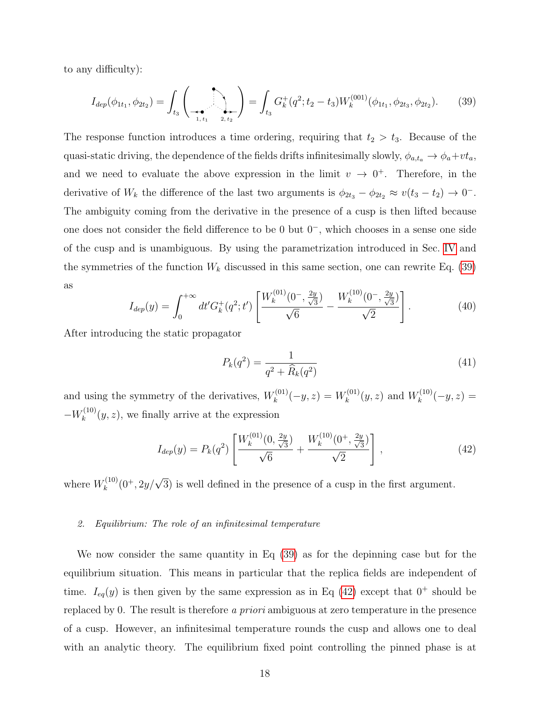to any difficulty):

<span id="page-17-0"></span>
$$
I_{dep}(\phi_{1t_1}, \phi_{2t_2}) = \int_{t_3} \left( \bigotimes_{\substack{t_1, t_1 \ 1, t_1}} \bigotimes_{\substack{2, t_2}} \bigotimes_{\substack{t_2}} \bigotimes_{\substack{t_3}} \left( q^2; t_2 - t_3 \right) W_k^{(001)}(\phi_{1t_1}, \phi_{2t_3}, \phi_{2t_2}). \tag{39}
$$

The response function introduces a time ordering, requiring that  $t_2 > t_3$ . Because of the quasi-static driving, the dependence of the fields drifts infinitesimally slowly,  $\phi_{a,t_a} \to \phi_a + vt_a$ , and we need to evaluate the above expression in the limit  $v \to 0^+$ . Therefore, in the derivative of W<sub>k</sub> the difference of the last two arguments is  $\phi_{2t_3} - \phi_{2t_2} \approx v(t_3 - t_2) \to 0^{-}$ . The ambiguity coming from the derivative in the presence of a cusp is then lifted because one does not consider the field difference to be 0 but 0<sup>−</sup>, which chooses in a sense one side of the cusp and is unambiguous. By using the parametrization introduced in Sec. [IV](#page-9-2) and the symmetries of the function  $W_k$  discussed in this same section, one can rewrite Eq. [\(39\)](#page-17-0) as

$$
I_{dep}(y) = \int_0^{+\infty} dt' G_k^+(q^2; t') \left[ \frac{W_k^{(01)}(0^-, \frac{2y}{\sqrt{3}})}{\sqrt{6}} - \frac{W_k^{(10)}(0^-, \frac{2y}{\sqrt{3}})}{\sqrt{2}} \right].
$$
 (40)

After introducing the static propagator

$$
P_k(q^2) = \frac{1}{q^2 + \widehat{R}_k(q^2)}
$$
\n(41)

and using the symmetry of the derivatives,  $W_k^{(01)}$  $k^{(01)}(-y,z) = W_k^{(01)}$  $W_k^{(01)}(y, z)$  and  $W_k^{(10)}$  $k^{(10)}(-y,z) =$  $-W_k^{(10)}$  $\binom{10}{k}(y, z)$ , we finally arrive at the expression

<span id="page-17-1"></span>
$$
I_{dep}(y) = P_k(q^2) \left[ \frac{W_k^{(01)}(0, \frac{2y}{\sqrt{3}})}{\sqrt{6}} + \frac{W_k^{(10)}(0^+, \frac{2y}{\sqrt{3}})}{\sqrt{2}} \right],
$$
\n(42)

where  $W_k^{(10)}$  $k^{(10)}(0^+, 2y/\sqrt{3})$  is well defined in the presence of a cusp in the first argument.

#### 2. Equilibrium: The role of an infinitesimal temperature

We now consider the same quantity in Eq [\(39\)](#page-17-0) as for the depinning case but for the equilibrium situation. This means in particular that the replica fields are independent of time.  $I_{eq}(y)$  is then given by the same expression as in Eq [\(42\)](#page-17-1) except that  $0^+$  should be replaced by 0. The result is therefore a priori ambiguous at zero temperature in the presence of a cusp. However, an infinitesimal temperature rounds the cusp and allows one to deal with an analytic theory. The equilibrium fixed point controlling the pinned phase is at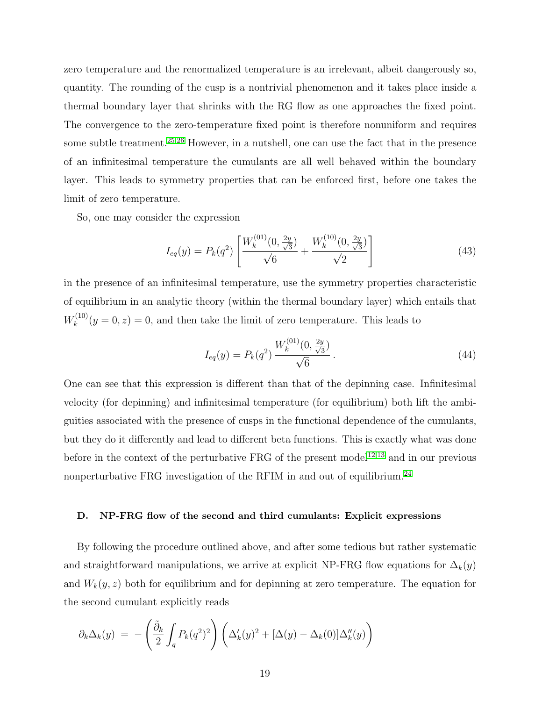zero temperature and the renormalized temperature is an irrelevant, albeit dangerously so, quantity. The rounding of the cusp is a nontrivial phenomenon and it takes place inside a thermal boundary layer that shrinks with the RG flow as one approaches the fixed point. The convergence to the zero-temperature fixed point is therefore nonuniform and requires some subtle treatment.<sup>[25](#page-36-1)[,26](#page-36-18)</sup> However, in a nutshell, one can use the fact that in the presence of an infinitesimal temperature the cumulants are all well behaved within the boundary layer. This leads to symmetry properties that can be enforced first, before one takes the limit of zero temperature.

So, one may consider the expression

$$
I_{eq}(y) = P_k(q^2) \left[ \frac{W_k^{(01)}(0, \frac{2y}{\sqrt{3}})}{\sqrt{6}} + \frac{W_k^{(10)}(0, \frac{2y}{\sqrt{3}})}{\sqrt{2}} \right]
$$
(43)

in the presence of an infinitesimal temperature, use the symmetry properties characteristic of equilibrium in an analytic theory (within the thermal boundary layer) which entails that  $W_k^{(10)}$  $(k_{k}^{(10)}(y=0,z)=0$ , and then take the limit of zero temperature. This leads to

$$
I_{eq}(y) = P_k(q^2) \frac{W_k^{(01)}(0, \frac{2y}{\sqrt{3}})}{\sqrt{6}}.
$$
\n(44)

One can see that this expression is different than that of the depinning case. Infinitesimal velocity (for depinning) and infinitesimal temperature (for equilibrium) both lift the ambiguities associated with the presence of cusps in the functional dependence of the cumulants, but they do it differently and lead to different beta functions. This is exactly what was done before in the context of the perturbative FRG of the present model<sup>[12](#page-35-9)[,13](#page-35-10)</sup> and in our previous nonperturbative FRG investigation of the RFIM in and out of equilibrium.<sup>[24](#page-36-0)</sup>

# D. NP-FRG flow of the second and third cumulants: Explicit expressions

By following the procedure outlined above, and after some tedious but rather systematic and straightforward manipulations, we arrive at explicit NP-FRG flow equations for  $\Delta_k(y)$ and  $W_k(y, z)$  both for equilibrium and for depinning at zero temperature. The equation for the second cumulant explicitly reads

<span id="page-18-0"></span>
$$
\partial_k \Delta_k(y) = -\left(\frac{\tilde{\partial}_k}{2} \int_q P_k(q^2)^2\right) \left(\Delta'_k(y)^2 + [\Delta(y) - \Delta_k(0)]\Delta''_k(y)\right)
$$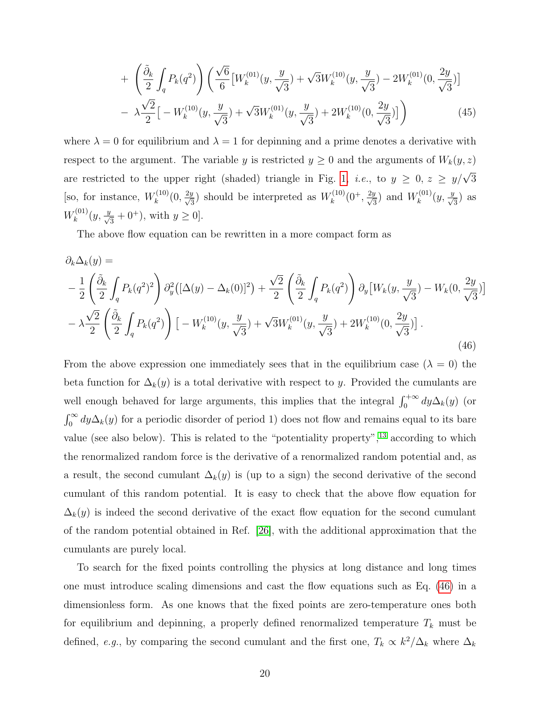$$
+\left(\frac{\tilde{\partial}_k}{2}\int_q P_k(q^2)\right)\left(\frac{\sqrt{6}}{6}\left[W_k^{(01)}(y,\frac{y}{\sqrt{3}})+\sqrt{3}W_k^{(10)}(y,\frac{y}{\sqrt{3}})-2W_k^{(01)}(0,\frac{2y}{\sqrt{3}})\right]\right) -\lambda\frac{\sqrt{2}}{2}\left[-W_k^{(10)}(y,\frac{y}{\sqrt{3}})+\sqrt{3}W_k^{(01)}(y,\frac{y}{\sqrt{3}})+2W_k^{(10)}(0,\frac{2y}{\sqrt{3}})\right]
$$
(45)

where  $\lambda = 0$  for equilibrium and  $\lambda = 1$  for depinning and a prime denotes a derivative with respect to the argument. The variable y is restricted  $y \ge 0$  and the arguments of  $W_k(y, z)$ are restricted to the upper right (shaded) triangle in Fig. [1,](#page-12-0) *i.e.*, to  $y \geq 0$ ,  $z \geq y/\sqrt{3}$ [so, for instance,  $W_k^{(10)}$  $\chi_k^{(10)}(0, \frac{2y}{\sqrt{3}})$  should be interpreted as  $W_k^{(10)}$  $W_k^{(10)}(0^+,\frac{2y}{\sqrt{3}})$  and  $W_k^{(01)}$  $h_k^{(01)}(y, \frac{y}{\sqrt{3}})$  as  $W_k^{(01)}$  $y_k^{(01)}(y, \frac{y}{\sqrt{3}} + 0^+), \text{ with } y \ge 0].$ 

The above flow equation can be rewritten in a more compact form as

<span id="page-19-0"></span>
$$
\partial_k \Delta_k(y) =
$$
\n
$$
-\frac{1}{2} \left( \frac{\tilde{\partial}_k}{2} \int_q P_k(q^2)^2 \right) \partial_y^2 \left( [\Delta(y) - \Delta_k(0)]^2 \right) + \frac{\sqrt{2}}{2} \left( \frac{\tilde{\partial}_k}{2} \int_q P_k(q^2) \right) \partial_y \left[ W_k(y, \frac{y}{\sqrt{3}}) - W_k(0, \frac{2y}{\sqrt{3}}) \right]
$$
\n
$$
-\lambda \frac{\sqrt{2}}{2} \left( \frac{\tilde{\partial}_k}{2} \int_q P_k(q^2) \right) \left[ -W_k^{(10)}(y, \frac{y}{\sqrt{3}}) + \sqrt{3} W_k^{(01)}(y, \frac{y}{\sqrt{3}}) + 2W_k^{(10)}(0, \frac{2y}{\sqrt{3}}) \right].
$$
\n(46)

From the above expression one immediately sees that in the equilibrium case ( $\lambda = 0$ ) the beta function for  $\Delta_k(y)$  is a total derivative with respect to y. Provided the cumulants are well enough behaved for large arguments, this implies that the integral  $\int_0^{+\infty} dy \Delta_k(y)$  (or  $\int_0^\infty dy \Delta_k(y)$  for a periodic disorder of period 1) does not flow and remains equal to its bare value (see also below). This is related to the "potentiality property",<sup>[13](#page-35-10)</sup> according to which the renormalized random force is the derivative of a renormalized random potential and, as a result, the second cumulant  $\Delta_k(y)$  is (up to a sign) the second derivative of the second cumulant of this random potential. It is easy to check that the above flow equation for  $\Delta_k(y)$  is indeed the second derivative of the exact flow equation for the second cumulant of the random potential obtained in Ref. [\[26\]](#page-36-18), with the additional approximation that the cumulants are purely local.

To search for the fixed points controlling the physics at long distance and long times one must introduce scaling dimensions and cast the flow equations such as Eq. [\(46\)](#page-19-0) in a dimensionless form. As one knows that the fixed points are zero-temperature ones both for equilibrium and depinning, a properly defined renormalized temperature  $T_k$  must be defined, e.g., by comparing the second cumulant and the first one,  $T_k \propto k^2/\Delta_k$  where  $\Delta_k$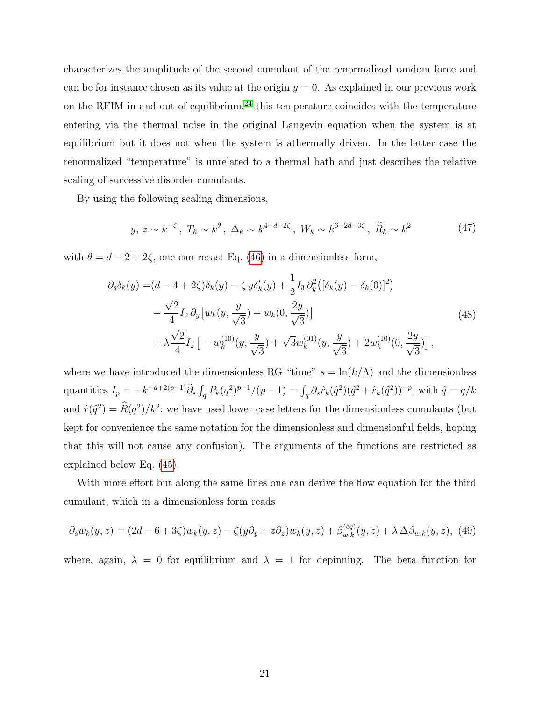characterizes the amplitude of the second cumulant of the renormalized random force and can be for instance chosen as its value at the origin  $y = 0$ . As explained in our previous work on the RFIM in and out of equilibrium, $24$  this temperature coincides with the temperature entering via the thermal noise in the original Langevin equation when the system is at equilibrium but it does not when the system is athermally driven. In the latter case the renormalized "temperature" is unrelated to a thermal bath and just describes the relative scaling of successive disorder cumulants.

By using the following scaling dimensions,

$$
y, z \sim k^{-\zeta}, T_k \sim k^{\theta}, \Delta_k \sim k^{4-d-2\zeta}, W_k \sim k^{6-2d-3\zeta}, \hat{R}_k \sim k^2
$$
 (47)

with  $\theta = d - 2 + 2\zeta$ , one can recast Eq. [\(46\)](#page-19-0) in a dimensionless form,

<span id="page-20-0"></span>
$$
\partial_s \delta_k(y) = (d - 4 + 2\zeta)\delta_k(y) - \zeta y \delta'_k(y) + \frac{1}{2} I_3 \partial_y^2 \left( [\delta_k(y) - \delta_k(0)]^2 \right) \n- \frac{\sqrt{2}}{4} I_2 \partial_y \left[ w_k(y, \frac{y}{\sqrt{3}}) - w_k(0, \frac{2y}{\sqrt{3}}) \right] \n+ \lambda \frac{\sqrt{2}}{4} I_2 \left[ -w_k^{(10)}(y, \frac{y}{\sqrt{3}}) + \sqrt{3} w_k^{(01)}(y, \frac{y}{\sqrt{3}}) + 2w_k^{(10)}(0, \frac{2y}{\sqrt{3}}) \right],
$$
\n(48)

where we have introduced the dimensionless RG "time"  $s = \ln(k/\Lambda)$  and the dimensionless quantities  $I_p = -k^{-d+2(p-1)} \tilde{\partial}_s \int_q P_k(q^2)^{p-1}/(p-1) = \int_{\hat{q}} \partial_s \hat{r}_k(\hat{q}^2)(\hat{q}^2 + \hat{r}_k(\hat{q}^2))^{-p}$ , with  $\hat{q} = q/k$ and  $\hat{r}(\hat{q}^2) = \hat{R}(q^2)/k^2$ ; we have used lower case letters for the dimensionless cumulants (but kept for convenience the same notation for the dimensionless and dimensionful fields, hoping that this will not cause any confusion). The arguments of the functions are restricted as explained below Eq. [\(45\)](#page-18-0).

With more effort but along the same lines one can derive the flow equation for the third cumulant, which in a dimensionless form reads

$$
\partial_s w_k(y, z) = (2d - 6 + 3\zeta)w_k(y, z) - \zeta(y\partial_y + z\partial_z)w_k(y, z) + \beta_{w,k}^{(eq)}(y, z) + \lambda \Delta \beta_{w,k}(y, z), \tag{49}
$$

where, again,  $\lambda = 0$  for equilibrium and  $\lambda = 1$  for depinning. The beta function for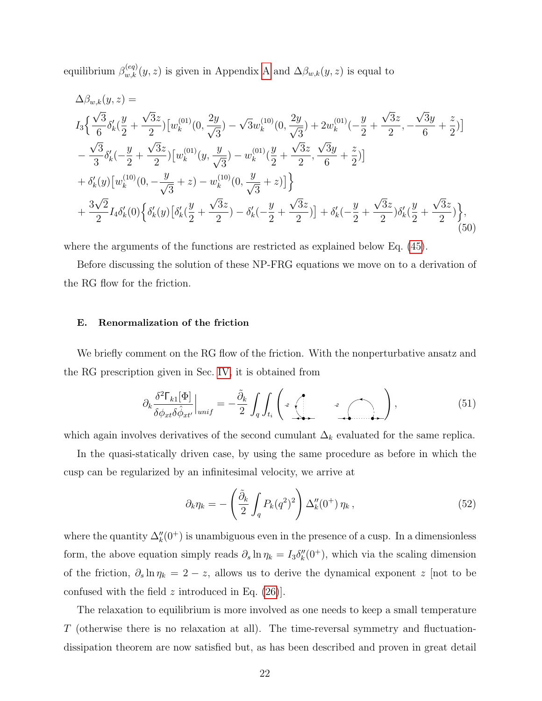equilibrium  $\beta_{w,k}^{(eq)}(y, z)$  is given in [A](#page-28-0)ppendix A and  $\Delta \beta_{w,k}(y, z)$  is equal to

$$
\Delta\beta_{w,k}(y,z) =
$$
\n
$$
I_{3}\left\{\frac{\sqrt{3}}{6}\delta'_{k}\left(\frac{y}{2}+\frac{\sqrt{3}z}{2}\right)\left[w_{k}^{(01)}(0,\frac{2y}{\sqrt{3}})-\sqrt{3}w_{k}^{(10)}(0,\frac{2y}{\sqrt{3}})+2w_{k}^{(01)}(-\frac{y}{2}+\frac{\sqrt{3}z}{2},-\frac{\sqrt{3}y}{6}+\frac{z}{2})\right]\right\}
$$
\n
$$
-\frac{\sqrt{3}}{3}\delta'_{k}(-\frac{y}{2}+\frac{\sqrt{3}z}{2})\left[w_{k}^{(01)}(y,\frac{y}{\sqrt{3}})-w_{k}^{(01)}(\frac{y}{2}+\frac{\sqrt{3}z}{2},\frac{\sqrt{3}y}{6}+\frac{z}{2})\right]
$$
\n
$$
+\delta'_{k}(y)\left[w_{k}^{(10)}(0,-\frac{y}{\sqrt{3}}+z)-w_{k}^{(10)}(0,\frac{y}{\sqrt{3}}+z)\right]\right\}
$$
\n
$$
+\frac{3\sqrt{2}}{2}I_{4}\delta'_{k}(0)\left\{\delta'_{k}(y)\left[\delta'_{k}(\frac{y}{2}+\frac{\sqrt{3}z}{2})-\delta'_{k}(-\frac{y}{2}+\frac{\sqrt{3}z}{2})\right]+\delta'_{k}(-\frac{y}{2}+\frac{\sqrt{3}z}{2})\delta'_{k}(\frac{y}{2}+\frac{\sqrt{3}z}{2})\right\},\tag{50}
$$

where the arguments of the functions are restricted as explained below Eq. [\(45\)](#page-18-0).

Before discussing the solution of these NP-FRG equations we move on to a derivation of the RG flow for the friction.

# <span id="page-21-1"></span>E. Renormalization of the friction

We briefly comment on the RG flow of the friction. With the nonperturbative ansatz and the RG prescription given in Sec. [IV,](#page-9-2) it is obtained from

$$
\partial_k \frac{\delta^2 \Gamma_{k1}[\Phi]}{\delta \phi_{xt} \delta \hat{\phi}_{xt'}} \Big|_{unif} = -\frac{\tilde{\partial}_k}{2} \int_q \int_{t_i} \left( \mathcal{L} \left( \mathcal{L} \right)_{\mathcal{L}(\mathcal{L} \setminus \mathcal{L})} \mathcal{L} \right), \tag{51}
$$

which again involves derivatives of the second cumulant  $\Delta_k$  evaluated for the same replica.

In the quasi-statically driven case, by using the same procedure as before in which the cusp can be regularized by an infinitesimal velocity, we arrive at

<span id="page-21-0"></span>
$$
\partial_k \eta_k = -\left(\frac{\tilde{\partial}_k}{2} \int_q P_k(q^2)^2\right) \Delta_k''(0^+) \eta_k ,\qquad (52)
$$

where the quantity  $\Delta_k''(0^+)$  is unambiguous even in the presence of a cusp. In a dimensionless form, the above equation simply reads  $\partial_s \ln \eta_k = I_3 \delta''_k(0^+),$  which via the scaling dimension of the friction,  $\partial_s \ln \eta_k = 2 - z$ , allows us to derive the dynamical exponent z [not to be confused with the field  $z$  introduced in Eq. [\(26\)](#page-11-3).

The relaxation to equilibrium is more involved as one needs to keep a small temperature T (otherwise there is no relaxation at all). The time-reversal symmetry and fluctuationdissipation theorem are now satisfied but, as has been described and proven in great detail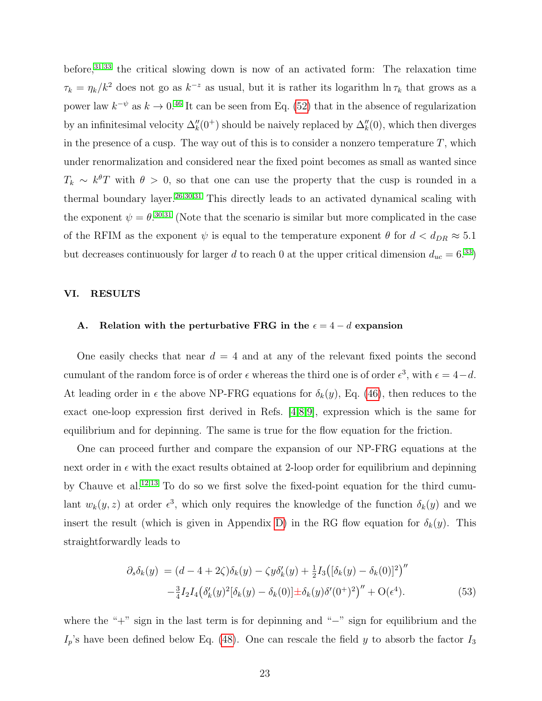before,<sup>[31](#page-36-5)[,33](#page-36-7)</sup> the critical slowing down is now of an activated form: The relaxation time  $\tau_k = \eta_k/k^2$  does not go as  $k^{-z}$  as usual, but it is rather its logarithm  $\ln \tau_k$  that grows as a power law  $k^{-\psi}$  as  $k \to 0.46$  $k \to 0.46$  It can be seen from Eq. [\(52\)](#page-21-0) that in the absence of regularization by an infinitesimal velocity  $\Delta_k''(0^+)$  should be naively replaced by  $\Delta_k''(0)$ , which then diverges in the presence of a cusp. The way out of this is to consider a nonzero temperature  $T$ , which under renormalization and considered near the fixed point becomes as small as wanted since  $T_k \sim k^{\theta}T$  with  $\theta > 0$ , so that one can use the property that the cusp is rounded in a thermal boundary layer.<sup>[26,](#page-36-18)[30](#page-36-20)[,31](#page-36-5)</sup> This directly leads to an activated dynamical scaling with the exponent  $\psi = \theta^{0.30,31}$  $\psi = \theta^{0.30,31}$  $\psi = \theta^{0.30,31}$  $\psi = \theta^{0.30,31}$  (Note that the scenario is similar but more complicated in the case of the RFIM as the exponent  $\psi$  is equal to the temperature exponent  $\theta$  for  $d < d_{DR} \approx 5.1$ but decreases continuously for larger d to reach 0 at the upper critical dimension  $d_{uc} = 6^{33}$  $d_{uc} = 6^{33}$  $d_{uc} = 6^{33}$ )

#### VI. RESULTS

# A. Relation with the perturbative FRG in the  $\epsilon = 4 - d$  expansion

One easily checks that near  $d = 4$  and at any of the relevant fixed points the second cumulant of the random force is of order  $\epsilon$  whereas the third one is of order  $\epsilon^3$ , with  $\epsilon = 4-d$ . At leading order in  $\epsilon$  the above NP-FRG equations for  $\delta_k(y)$ , Eq. [\(46\)](#page-19-0), then reduces to the exact one-loop expression first derived in Refs. [\[4,](#page-35-2)[8,](#page-35-7)[9\]](#page-35-6), expression which is the same for equilibrium and for depinning. The same is true for the flow equation for the friction.

One can proceed further and compare the expansion of our NP-FRG equations at the next order in  $\epsilon$  with the exact results obtained at 2-loop order for equilibrium and depinning by Chauve et al.[12,](#page-35-9)[13](#page-35-10) To do so we first solve the fixed-point equation for the third cumulant  $w_k(y, z)$  at order  $\epsilon^3$ , which only requires the knowledge of the function  $\delta_k(y)$  and we insert the result (which is given in Appendix [D\)](#page-34-4) in the RG flow equation for  $\delta_k(y)$ . This straightforwardly leads to

$$
\partial_s \delta_k(y) = (d - 4 + 2\zeta)\delta_k(y) - \zeta y \delta'_k(y) + \frac{1}{2} I_3 \big( [\delta_k(y) - \delta_k(0)]^2 \big)''
$$
  

$$
- \frac{3}{4} I_2 I_4 \big( \delta'_k(y)^2 [\delta_k(y) - \delta_k(0)] \pm \delta_k(y) \delta'(0^+)^2 \big)'' + O(\epsilon^4). \tag{53}
$$

where the "+" sign in the last term is for depinning and "−" sign for equilibrium and the  $I_p$ 's have been defined below Eq. [\(48\)](#page-20-0). One can rescale the field y to absorb the factor  $I_3$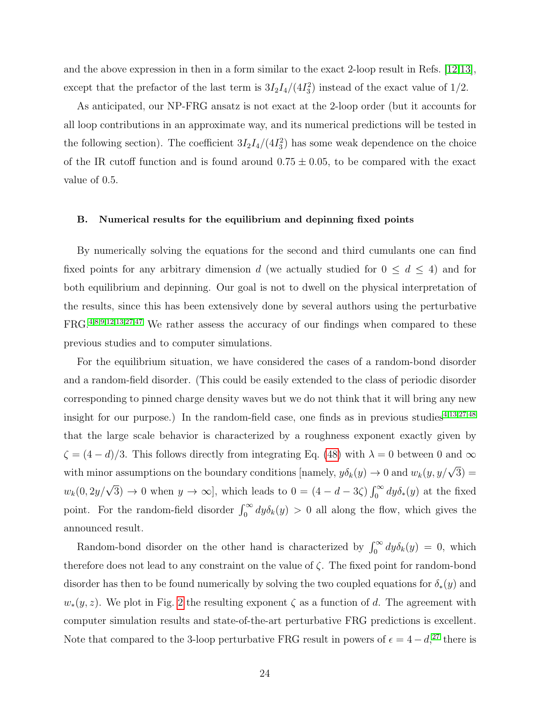and the above expression in then in a form similar to the exact 2-loop result in Refs. [\[12,](#page-35-9)[13\]](#page-35-10), except that the prefactor of the last term is  $3I_2I_4/(4I_3^2)$  instead of the exact value of 1/2.

As anticipated, our NP-FRG ansatz is not exact at the 2-loop order (but it accounts for all loop contributions in an approximate way, and its numerical predictions will be tested in the following section). The coefficient  $3I_2I_4/(4I_3^2)$  has some weak dependence on the choice of the IR cutoff function and is found around  $0.75 \pm 0.05$ , to be compared with the exact value of 0.5.

## B. Numerical results for the equilibrium and depinning fixed points

By numerically solving the equations for the second and third cumulants one can find fixed points for any arbitrary dimension d (we actually studied for  $0 \leq d \leq 4$ ) and for both equilibrium and depinning. Our goal is not to dwell on the physical interpretation of the results, since this has been extensively done by several authors using the perturbative FRG.[4,](#page-35-2)[8,](#page-35-7)[9,](#page-35-6)[12,](#page-35-9)[13](#page-35-10)[,27,](#page-36-2)[47](#page-37-1) We rather assess the accuracy of our findings when compared to these previous studies and to computer simulations.

For the equilibrium situation, we have considered the cases of a random-bond disorder and a random-field disorder. (This could be easily extended to the class of periodic disorder corresponding to pinned charge density waves but we do not think that it will bring any new insight for our purpose.) In the random-field case, one finds as in previous studies<sup>[4,](#page-35-2)[13](#page-35-10)[,27](#page-36-2)[,48](#page-37-2)</sup> that the large scale behavior is characterized by a roughness exponent exactly given by  $\zeta = (4 - d)/3$ . This follows directly from integrating Eq. [\(48\)](#page-20-0) with  $\lambda = 0$  between 0 and  $\infty$ with minor assumptions on the boundary conditions [namely,  $y\delta_k(y) \to 0$  and  $w_k(y, y/\sqrt{3}) =$  $w_k(0, 2y/\sqrt{3}) \to 0$  when  $y \to \infty$ , which leads to  $0 = (4 - d - 3\zeta) \int_0^\infty dy \delta_*(y)$  at the fixed point. For the random-field disorder  $\int_0^\infty dy \delta_k(y) > 0$  all along the flow, which gives the announced result.

Random-bond disorder on the other hand is characterized by  $\int_0^\infty dy \delta_k(y) = 0$ , which therefore does not lead to any constraint on the value of  $\zeta$ . The fixed point for random-bond disorder has then to be found numerically by solving the two coupled equations for  $\delta_*(y)$  and  $w_*(y, z)$ . We plot in Fig. [2](#page-24-0) the resulting exponent  $\zeta$  as a function of d. The agreement with computer simulation results and state-of-the-art perturbative FRG predictions is excellent. Note that compared to the 3-loop perturbative FRG result in powers of  $\epsilon = 4 - d$ ,<sup>[27](#page-36-2)</sup> there is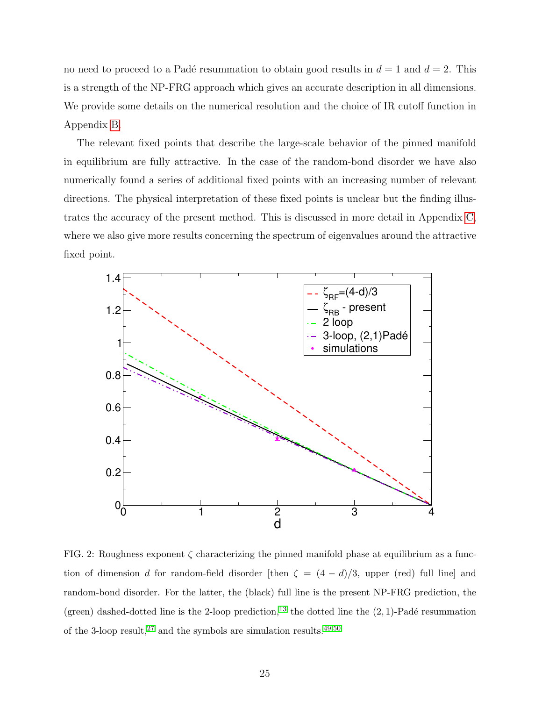no need to proceed to a Padé resummation to obtain good results in  $d = 1$  and  $d = 2$ . This is a strength of the NP-FRG approach which gives an accurate description in all dimensions. We provide some details on the numerical resolution and the choice of IR cutoff function in Appendix [B.](#page-30-0)

The relevant fixed points that describe the large-scale behavior of the pinned manifold in equilibrium are fully attractive. In the case of the random-bond disorder we have also numerically found a series of additional fixed points with an increasing number of relevant directions. The physical interpretation of these fixed points is unclear but the finding illustrates the accuracy of the present method. This is discussed in more detail in Appendix [C,](#page-31-0) where we also give more results concerning the spectrum of eigenvalues around the attractive fixed point.



<span id="page-24-0"></span>FIG. 2: Roughness exponent  $\zeta$  characterizing the pinned manifold phase at equilibrium as a function of dimension d for random-field disorder [then  $\zeta = (4 - d)/3$ , upper (red) full line] and random-bond disorder. For the latter, the (black) full line is the present NP-FRG prediction, the (green) dashed-dotted line is the 2-loop prediction,<sup>[13](#page-35-10)</sup> the dotted line the  $(2, 1)$ -Padé resummation of the 3-loop result,<sup>[27](#page-36-2)</sup> and the symbols are simulation results.<sup>[49](#page-37-3)[,50](#page-37-4)</sup>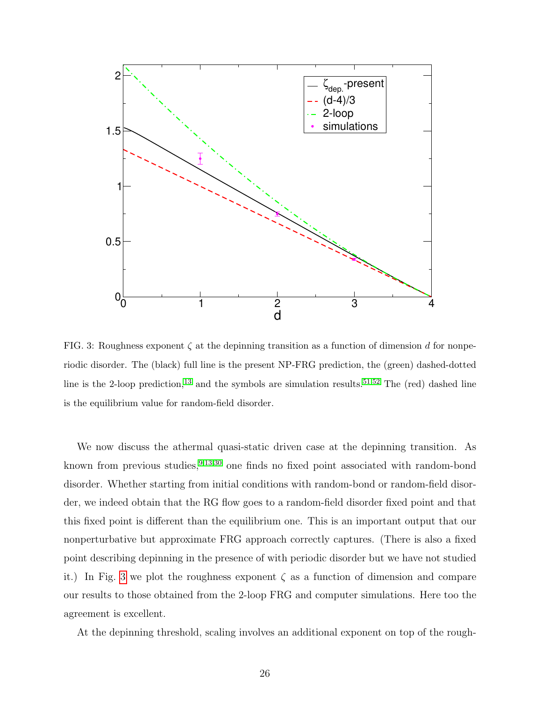

<span id="page-25-0"></span>FIG. 3: Roughness exponent  $\zeta$  at the depinning transition as a function of dimension d for nonperiodic disorder. The (black) full line is the present NP-FRG prediction, the (green) dashed-dotted line is the 2-loop prediction,<sup>[13](#page-35-10)</sup> and the symbols are simulation results.<sup>[51,](#page-37-5)[52](#page-37-6)</sup> The (red) dashed line is the equilibrium value for random-field disorder.

We now discuss the athermal quasi-static driven case at the depinning transition. As known from previous studies,  $9,13,30$  $9,13,30$  $9,13,30$  one finds no fixed point associated with random-bond disorder. Whether starting from initial conditions with random-bond or random-field disorder, we indeed obtain that the RG flow goes to a random-field disorder fixed point and that this fixed point is different than the equilibrium one. This is an important output that our nonperturbative but approximate FRG approach correctly captures. (There is also a fixed point describing depinning in the presence of with periodic disorder but we have not studied it.) In Fig. [3](#page-25-0) we plot the roughness exponent  $\zeta$  as a function of dimension and compare our results to those obtained from the 2-loop FRG and computer simulations. Here too the agreement is excellent.

At the depinning threshold, scaling involves an additional exponent on top of the rough-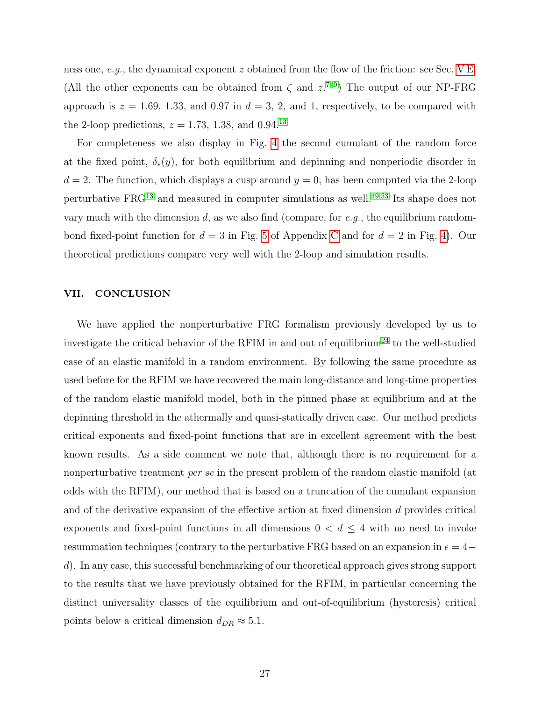ness one, e.g., the dynamical exponent z obtained from the flow of the friction: see Sec. [V E.](#page-21-1) (All the other exponents can be obtained from  $\zeta$  and  $z^{7-9}$  $z^{7-9}$  $z^{7-9}$ ) The output of our NP-FRG approach is  $z = 1.69, 1.33,$  and 0.97 in  $d = 3, 2,$  and 1, respectively, to be compared with the 2-loop predictions,  $z = 1.73, 1.38,$  and 0.94.<sup>[13](#page-35-10)</sup>

For completeness we also display in Fig. [4](#page-27-0) the second cumulant of the random force at the fixed point,  $\delta_*(y)$ , for both equilibrium and depinning and nonperiodic disorder in  $d = 2$ . The function, which displays a cusp around  $y = 0$ , has been computed via the 2-loop perturbative FRG[13](#page-35-10) and measured in computer simulations as well.[49](#page-37-3)[,53](#page-37-7) Its shape does not vary much with the dimension d, as we also find (compare, for  $e.g.,$  the equilibrium randombond fixed-point function for  $d = 3$  in Fig. [5](#page-32-0) of Appendix [C](#page-31-0) and for  $d = 2$  in Fig. [4\)](#page-27-0). Our theoretical predictions compare very well with the 2-loop and simulation results.

# VII. CONCLUSION

We have applied the nonperturbative FRG formalism previously developed by us to investigate the critical behavior of the RFIM in and out of equilibrium<sup>[24](#page-36-0)</sup> to the well-studied case of an elastic manifold in a random environment. By following the same procedure as used before for the RFIM we have recovered the main long-distance and long-time properties of the random elastic manifold model, both in the pinned phase at equilibrium and at the depinning threshold in the athermally and quasi-statically driven case. Our method predicts critical exponents and fixed-point functions that are in excellent agreement with the best known results. As a side comment we note that, although there is no requirement for a nonperturbative treatment *per se* in the present problem of the random elastic manifold (at odds with the RFIM), our method that is based on a truncation of the cumulant expansion and of the derivative expansion of the effective action at fixed dimension d provides critical exponents and fixed-point functions in all dimensions  $0 < d \leq 4$  with no need to invoke resummation techniques (contrary to the perturbative FRG based on an expansion in  $\epsilon=4$ d). In any case, this successful benchmarking of our theoretical approach gives strong support to the results that we have previously obtained for the RFIM, in particular concerning the distinct universality classes of the equilibrium and out-of-equilibrium (hysteresis) critical points below a critical dimension  $d_{DR} \approx 5.1$ .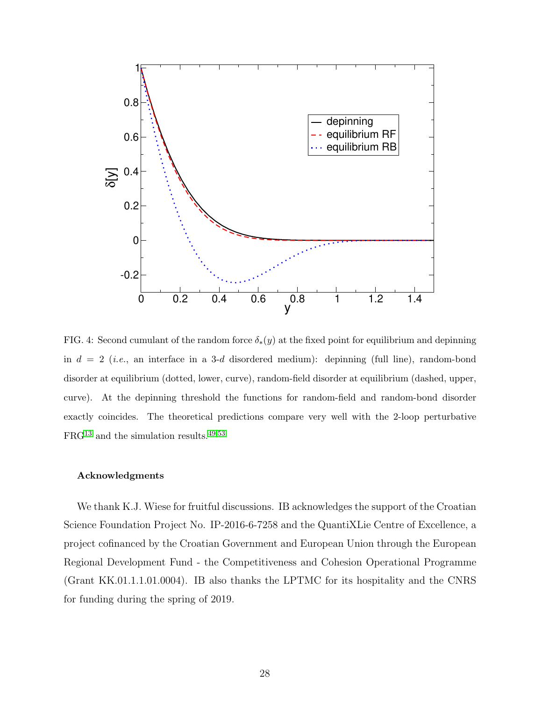

<span id="page-27-0"></span>FIG. 4: Second cumulant of the random force  $\delta_*(y)$  at the fixed point for equilibrium and depinning in  $d = 2$  (*i.e.*, an interface in a 3-d disordered medium): depinning (full line), random-bond disorder at equilibrium (dotted, lower, curve), random-field disorder at equilibrium (dashed, upper, curve). At the depinning threshold the functions for random-field and random-bond disorder exactly coincides. The theoretical predictions compare very well with the 2-loop perturbative  ${\rm FRG^{13}}$  ${\rm FRG^{13}}$  ${\rm FRG^{13}}$  and the simulation results.  $^{49,53}$  $^{49,53}$  $^{49,53}$  $^{49,53}$ 

#### Acknowledgments

We thank K.J. Wiese for fruitful discussions. IB acknowledges the support of the Croatian Science Foundation Project No. IP-2016-6-7258 and the QuantiXLie Centre of Excellence, a project cofinanced by the Croatian Government and European Union through the European Regional Development Fund - the Competitiveness and Cohesion Operational Programme (Grant KK.01.1.1.01.0004). IB also thanks the LPTMC for its hospitality and the CNRS for funding during the spring of 2019.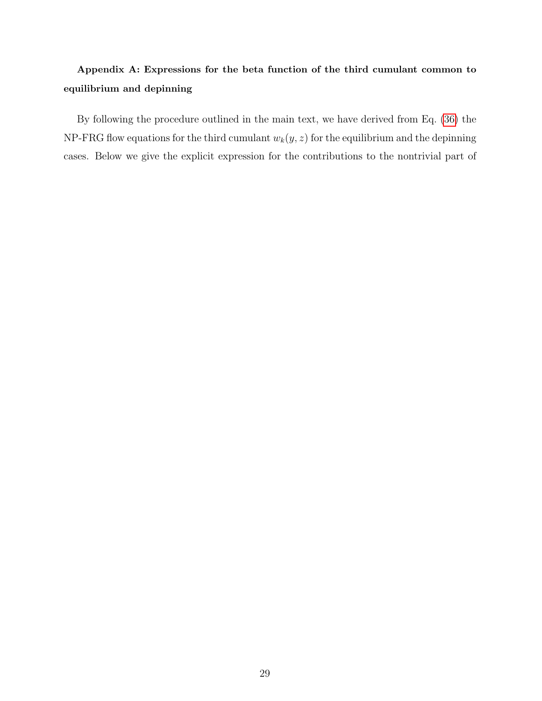# <span id="page-28-0"></span>Appendix A: Expressions for the beta function of the third cumulant common to equilibrium and depinning

By following the procedure outlined in the main text, we have derived from Eq. [\(36\)](#page-15-3) the NP-FRG flow equations for the third cumulant  $w_k(y, z)$  for the equilibrium and the depinning cases. Below we give the explicit expression for the contributions to the nontrivial part of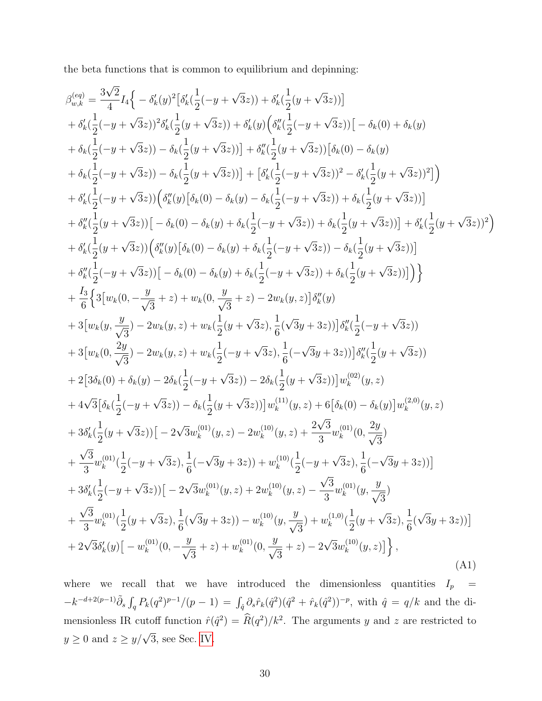the beta functions that is common to equilibrium and depinning:

$$
\beta_{w,k}^{(eq)} = \frac{3\sqrt{2}}{4}L_1\left\{-\delta'_k(y)^2[\delta'_k(\frac{1}{2}(-y+\sqrt{3}z)) + \delta'_k(\frac{1}{2}(y+\sqrt{3}z))] \right\}\n+ \delta'_k(\frac{1}{2}(-y+\sqrt{3}z))^2\delta'_k(\frac{1}{2}(y+\sqrt{3}z)) + \delta'_k(y)(\delta''_k(\frac{1}{2}(-y+\sqrt{3}z))[-\delta_k(0) + \delta_k(y) \right)\n+ \delta_k(\frac{1}{2}(-y+\sqrt{3}z)) - \delta_k(\frac{1}{2}(y+\sqrt{3}z))] + \delta''_k(\frac{1}{2}(y+\sqrt{3}z))[\delta_k(0) - \delta_k(y) \n+ \delta_k(\frac{1}{2}(-y+\sqrt{3}z)) - \delta_k(\frac{1}{2}(y+\sqrt{3}z))] + [\delta'_k(\frac{1}{2}(-y+\sqrt{3}z))^2 - \delta'_k(\frac{1}{2}(y+\sqrt{3}z))^2] \right)\n+ \delta'_k(\frac{1}{2}(-y+\sqrt{3}z))[\delta''_k(y)[\delta_k(0) - \delta_k(y) - \delta_k(\frac{1}{2}(-y+\sqrt{3}z)) + \delta_k(\frac{1}{2}(y+\sqrt{3}z))] \right)\n+ \delta''_k(\frac{1}{2}(y+\sqrt{3}z))[\delta''_k(y)[\delta_k(0) - \delta_k(y) + \delta_k(\frac{1}{2}(-y+\sqrt{3}z)) + \delta_k(\frac{1}{2}(y+\sqrt{3}z))] \right)\n+ \delta''_k(\frac{1}{2}(y+\sqrt{3}z))[\delta''_k(y)[\delta_k(0) - \delta_k(y) + \delta_k(\frac{1}{2}(-y+\sqrt{3}z)) + \delta_k(\frac{1}{2}(y+\sqrt{3}z))] \right)\n+ \delta''_k(\frac{1}{2}(-y+\sqrt{3}z))[-\delta_k(0) - \delta_k(y) + \delta_k(\frac{1}{2}(-y+\sqrt{3}z)) + \delta_k(\frac{1}{2}(y+\sqrt{3}z))] \right)\n+ \delta''_k(\frac{1}{2}(-y+\sqrt{3}z))[-\delta_k(0) - \delta_k(y) + \delta_k(\frac{1}{2}(-y+\sqrt{3}z)) - \delta_k(\frac{1}{2}(y+\sqrt{3}z))] \right)\n+ 3[u_k(0,
$$

where we recall that we have introduced the dimensionless quantities  $I_p =$  $-k^{-d+2(p-1)}\tilde{\partial}_s\int_q P_k(q^2)^{p-1}/(p-1) = \int_{\hat{q}} \partial_s \hat{r}_k(\hat{q}^2)(\hat{q}^2 + \hat{r}_k(\hat{q}^2))^{-p}$ , with  $\hat{q} = q/k$  and the dimensionless IR cutoff function  $\hat{r}(\hat{q}^2) = \hat{R}(q^2)/k^2$ . The arguments y and z are restricted to  $y \geq 0$  and  $z \geq y/\sqrt{3}$ , see Sec. [IV.](#page-9-2)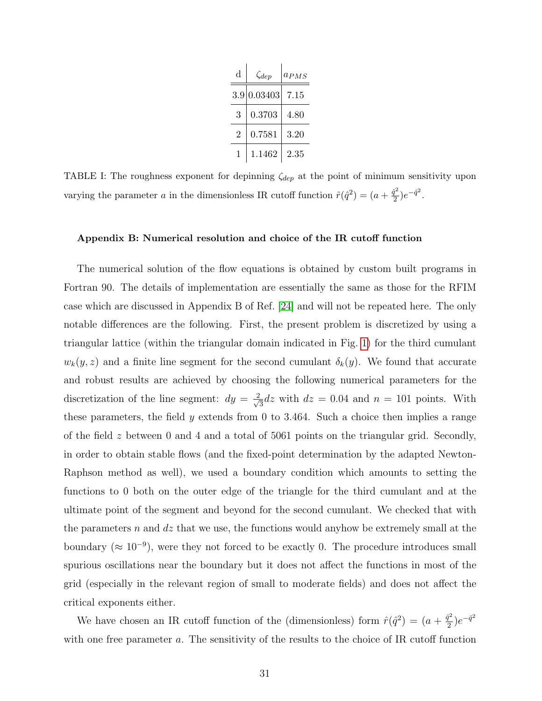| d   | $\zeta_{dep}$ | $a_{PMS}$ |
|-----|---------------|-----------|
| 3.9 | 0.03403       | 7.15      |
| 3   | 0.3703        | 4.80      |
| 2   | 0.7581        | 3.20      |
| 1   | 1.1462        | 2.35      |

<span id="page-30-1"></span>TABLE I: The roughness exponent for depinning  $\zeta_{dep}$  at the point of minimum sensitivity upon varying the parameter a in the dimensionless IR cutoff function  $\hat{r}(\hat{q}^2) = (a + \frac{\hat{q}^2}{2})$  $(\frac{\hat{l}^2}{2})e^{-\hat{q}^2}.$ 

# <span id="page-30-0"></span>Appendix B: Numerical resolution and choice of the IR cutoff function

The numerical solution of the flow equations is obtained by custom built programs in Fortran 90. The details of implementation are essentially the same as those for the RFIM case which are discussed in Appendix B of Ref. [\[24\]](#page-36-0) and will not be repeated here. The only notable differences are the following. First, the present problem is discretized by using a triangular lattice (within the triangular domain indicated in Fig. [1\)](#page-12-0) for the third cumulant  $w_k(y, z)$  and a finite line segment for the second cumulant  $\delta_k(y)$ . We found that accurate and robust results are achieved by choosing the following numerical parameters for the discretization of the line segment:  $dy = \frac{2}{\sqrt{2}}$  $\frac{d}{3}dz$  with  $dz = 0.04$  and  $n = 101$  points. With these parameters, the field  $y$  extends from 0 to 3.464. Such a choice then implies a range of the field z between 0 and 4 and a total of 5061 points on the triangular grid. Secondly, in order to obtain stable flows (and the fixed-point determination by the adapted Newton-Raphson method as well), we used a boundary condition which amounts to setting the functions to 0 both on the outer edge of the triangle for the third cumulant and at the ultimate point of the segment and beyond for the second cumulant. We checked that with the parameters n and  $dz$  that we use, the functions would anyhow be extremely small at the boundary ( $\approx 10^{-9}$ ), were they not forced to be exactly 0. The procedure introduces small spurious oscillations near the boundary but it does not affect the functions in most of the grid (especially in the relevant region of small to moderate fields) and does not affect the critical exponents either.

We have chosen an IR cutoff function of the (dimensionless) form  $\hat{r}(\hat{q}^2) = (a + \frac{\hat{q}^2}{2})$  $(\frac{\hat{l}^2}{2})e^{-\hat{q}^2}$ with one free parameter a. The sensitivity of the results to the choice of IR cutoff function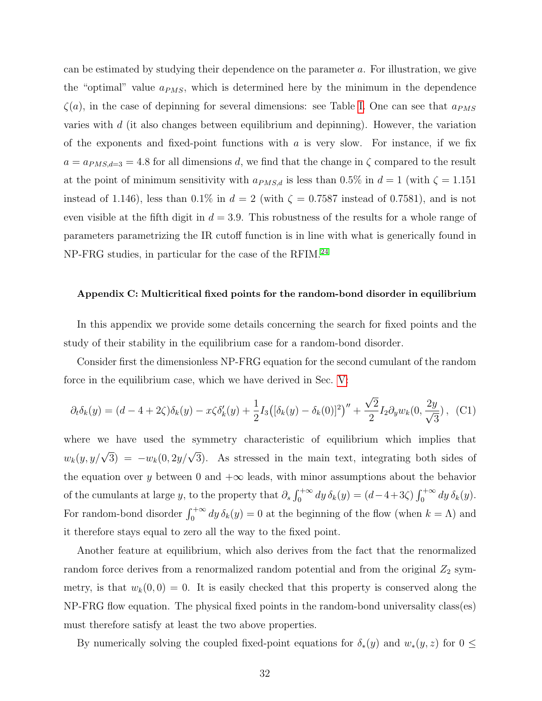can be estimated by studying their dependence on the parameter a. For illustration, we give the "optimal" value  $a_{PMS}$ , which is determined here by the minimum in the dependence  $\zeta(a)$ , in the case of depinning for several dimensions: see Table [I.](#page-30-1) One can see that  $a_{PMS}$ varies with  $d$  (it also changes between equilibrium and depinning). However, the variation of the exponents and fixed-point functions with  $a$  is very slow. For instance, if we fix  $a = a_{PMS,d=3} = 4.8$  for all dimensions d, we find that the change in  $\zeta$  compared to the result at the point of minimum sensitivity with  $a_{PMS,d}$  is less than 0.5% in  $d = 1$  (with  $\zeta = 1.151$ instead of 1.146), less than 0.1% in  $d = 2$  (with  $\zeta = 0.7587$  instead of 0.7581), and is not even visible at the fifth digit in  $d = 3.9$ . This robustness of the results for a whole range of parameters parametrizing the IR cutoff function is in line with what is generically found in NP-FRG studies, in particular for the case of the RFIM.[24](#page-36-0)

#### <span id="page-31-0"></span>Appendix C: Multicritical fixed points for the random-bond disorder in equilibrium

In this appendix we provide some details concerning the search for fixed points and the study of their stability in the equilibrium case for a random-bond disorder.

Consider first the dimensionless NP-FRG equation for the second cumulant of the random force in the equilibrium case, which we have derived in Sec. [V:](#page-13-0)

$$
\partial_t \delta_k(y) = (d - 4 + 2\zeta)\delta_k(y) - x\zeta \delta'_k(y) + \frac{1}{2}I_3([\delta_k(y) - \delta_k(0)]^2)'' + \frac{\sqrt{2}}{2}I_2 \partial_y w_k(0, \frac{2y}{\sqrt{3}}), \quad (C1)
$$

where we have used the symmetry characteristic of equilibrium which implies that  $w_k(y, y/\sqrt{3}) = -w_k(0, 2y/\sqrt{3})$ . As stressed in the main text, integrating both sides of the equation over y between 0 and  $+\infty$  leads, with minor assumptions about the behavior of the cumulants at large y, to the property that  $\partial_s \int_0^{+\infty} dy \, \delta_k(y) = (d-4+3\zeta) \int_0^{+\infty} dy \, \delta_k(y)$ . For random-bond disorder  $\int_0^{+\infty} dy \,\delta_k(y) = 0$  at the beginning of the flow (when  $k = \Lambda$ ) and it therefore stays equal to zero all the way to the fixed point.

Another feature at equilibrium, which also derives from the fact that the renormalized random force derives from a renormalized random potential and from the original  $Z_2$  symmetry, is that  $w_k(0,0) = 0$ . It is easily checked that this property is conserved along the NP-FRG flow equation. The physical fixed points in the random-bond universality class(es) must therefore satisfy at least the two above properties.

By numerically solving the coupled fixed-point equations for  $\delta_*(y)$  and  $w_*(y, z)$  for  $0 \leq$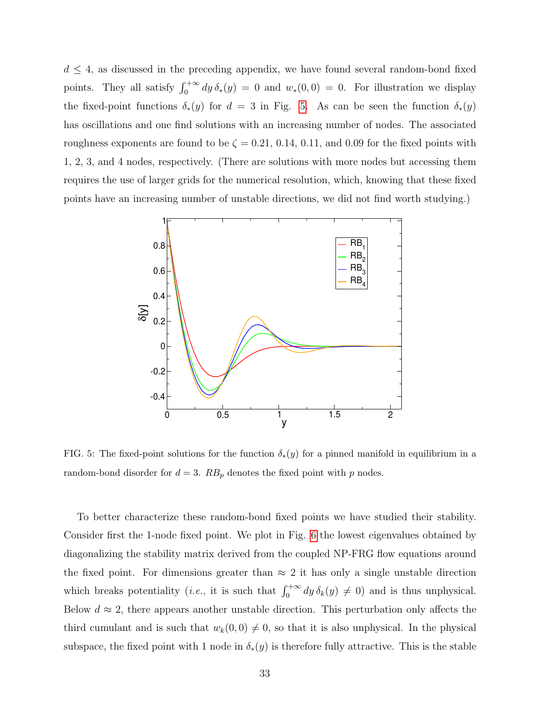$d \leq 4$ , as discussed in the preceding appendix, we have found several random-bond fixed points. They all satisfy  $\int_0^{+\infty} dy \, \delta_*(y) = 0$  and  $w_*(0,0) = 0$ . For illustration we display the fixed-point functions  $\delta_*(y)$  for  $d = 3$  in Fig. [5.](#page-32-0) As can be seen the function  $\delta_*(y)$ has oscillations and one find solutions with an increasing number of nodes. The associated roughness exponents are found to be  $\zeta = 0.21, 0.14, 0.11,$  and 0.09 for the fixed points with 1, 2, 3, and 4 nodes, respectively. (There are solutions with more nodes but accessing them requires the use of larger grids for the numerical resolution, which, knowing that these fixed points have an increasing number of unstable directions, we did not find worth studying.)



<span id="page-32-0"></span>FIG. 5: The fixed-point solutions for the function  $\delta_*(y)$  for a pinned manifold in equilibrium in a random-bond disorder for  $d = 3$ .  $RB_p$  denotes the fixed point with p nodes.

To better characterize these random-bond fixed points we have studied their stability. Consider first the 1-node fixed point. We plot in Fig. [6](#page-33-0) the lowest eigenvalues obtained by diagonalizing the stability matrix derived from the coupled NP-FRG flow equations around the fixed point. For dimensions greater than  $\approx 2$  it has only a single unstable direction which breaks potentiality (*i.e.*, it is such that  $\int_0^{+\infty} dy \, \delta_k(y) \neq 0$ ) and is thus unphysical. Below  $d \approx 2$ , there appears another unstable direction. This perturbation only affects the third cumulant and is such that  $w_k(0, 0) \neq 0$ , so that it is also unphysical. In the physical subspace, the fixed point with 1 node in  $\delta_*(y)$  is therefore fully attractive. This is the stable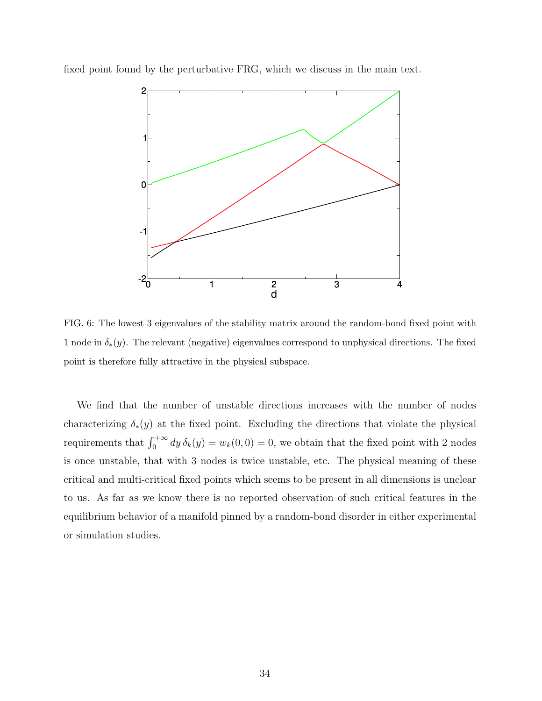fixed point found by the perturbative FRG, which we discuss in the main text.



<span id="page-33-0"></span>FIG. 6: The lowest 3 eigenvalues of the stability matrix around the random-bond fixed point with 1 node in  $\delta_*(y)$ . The relevant (negative) eigenvalues correspond to unphysical directions. The fixed point is therefore fully attractive in the physical subspace.

We find that the number of unstable directions increases with the number of nodes characterizing  $\delta_*(y)$  at the fixed point. Excluding the directions that violate the physical requirements that  $\int_0^{+\infty} dy \, \delta_k(y) = w_k(0,0) = 0$ , we obtain that the fixed point with 2 nodes is once unstable, that with 3 nodes is twice unstable, etc. The physical meaning of these critical and multi-critical fixed points which seems to be present in all dimensions is unclear to us. As far as we know there is no reported observation of such critical features in the equilibrium behavior of a manifold pinned by a random-bond disorder in either experimental or simulation studies.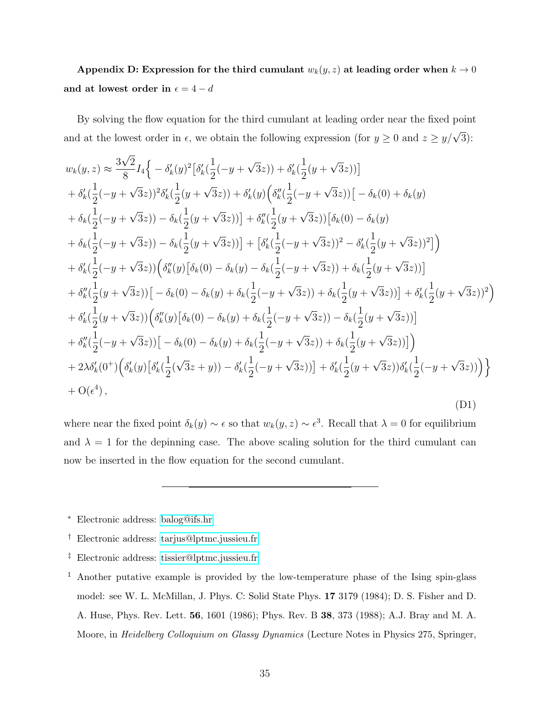<span id="page-34-4"></span>Appendix D: Expression for the third cumulant  $w_k(y, z)$  at leading order when  $k \to 0$ and at lowest order in  $\epsilon = 4 - d$ 

By solving the flow equation for the third cumulant at leading order near the fixed point and at the lowest order in  $\epsilon$ , we obtain the following expression (for  $y \ge 0$  and  $z \ge y/\sqrt{3}$ ):

$$
w_{k}(y, z) \approx \frac{3\sqrt{2}}{8} I_{4} \Big\{ -\delta'_{k}(y)^{2} [\delta'_{k}(\frac{1}{2}(-y + \sqrt{3}z)) + \delta'_{k}(\frac{1}{2}(y + \sqrt{3}z))]
$$
  
+  $\delta'_{k}(\frac{1}{2}(-y + \sqrt{3}z))^{2} \delta'_{k}(\frac{1}{2}(y + \sqrt{3}z)) + \delta'_{k}(y) (\delta''_{k}(\frac{1}{2}(-y + \sqrt{3}z))[-\delta_{k}(0) + \delta_{k}(y))$   
+  $\delta_{k}(\frac{1}{2}(-y + \sqrt{3}z)) - \delta_{k}(\frac{1}{2}(y + \sqrt{3}z))] + \delta''_{k}(\frac{1}{2}(y + \sqrt{3}z))[\delta_{k}(0) - \delta_{k}(y)$   
+  $\delta_{k}(\frac{1}{2}(-y + \sqrt{3}z)) - \delta_{k}(\frac{1}{2}(y + \sqrt{3}z))] + [\delta'_{k}(\frac{1}{2}(-y + \sqrt{3}z))^{2} - \delta'_{k}(\frac{1}{2}(y + \sqrt{3}z))^{2}]$   
+  $\delta'_{k}(\frac{1}{2}(-y + \sqrt{3}z))(\delta''_{k}(y)[\delta_{k}(0) - \delta_{k}(y) - \delta_{k}(\frac{1}{2}(-y + \sqrt{3}z)) + \delta_{k}(\frac{1}{2}(y + \sqrt{3}z))]$   
+  $\delta''_{k}(\frac{1}{2}(y + \sqrt{3}z))[-\delta_{k}(0) - \delta_{k}(y) + \delta_{k}(\frac{1}{2}(-y + \sqrt{3}z)) + \delta_{k}(\frac{1}{2}(y + \sqrt{3}z))] + \delta'_{k}(\frac{1}{2}(y + \sqrt{3}z))^{2}$   
+  $\delta'_{k}(\frac{1}{2}(y + \sqrt{3}z))(\delta''_{k}(y)[\delta_{k}(0) - \delta_{k}(y) + \delta_{k}(\frac{1}{2}(-y + \sqrt{3}z)) - \delta_{k}(\frac{1}{2}(y + \sqrt{3}z))]$   
+  $\delta''_{k}(\frac{1}{2}(-y + \sqrt{3}z))[-\delta_{k}(0) - \delta_{k}(y) + \delta_{k}(\frac{1}{2}(-y + \sqrt{$ 

where near the fixed point  $\delta_k(y) \sim \epsilon$  so that  $w_k(y, z) \sim \epsilon^3$ . Recall that  $\lambda = 0$  for equilibrium and  $\lambda = 1$  for the depinning case. The above scaling solution for the third cumulant can now be inserted in the flow equation for the second cumulant.

<span id="page-34-0"></span><sup>∗</sup> Electronic address: [balog@ifs.hr](mailto:balog@ifs.hr)

<span id="page-34-1"></span><sup>†</sup> Electronic address: [tarjus@lptmc.jussieu.fr](mailto:tarjus@lptmc.jussieu.fr)

<span id="page-34-2"></span><sup>‡</sup> Electronic address: [tissier@lptmc.jussieu.fr](mailto:tissier@lptmc.jussieu.fr)

<span id="page-34-3"></span><sup>1</sup> Another putative example is provided by the low-temperature phase of the Ising spin-glass model: see W. L. McMillan, J. Phys. C: Solid State Phys. 17 3179 (1984); D. S. Fisher and D. A. Huse, Phys. Rev. Lett. 56, 1601 (1986); Phys. Rev. B 38, 373 (1988); A.J. Bray and M. A. Moore, in *Heidelberg Colloquium on Glassy Dynamics* (Lecture Notes in Physics 275, Springer,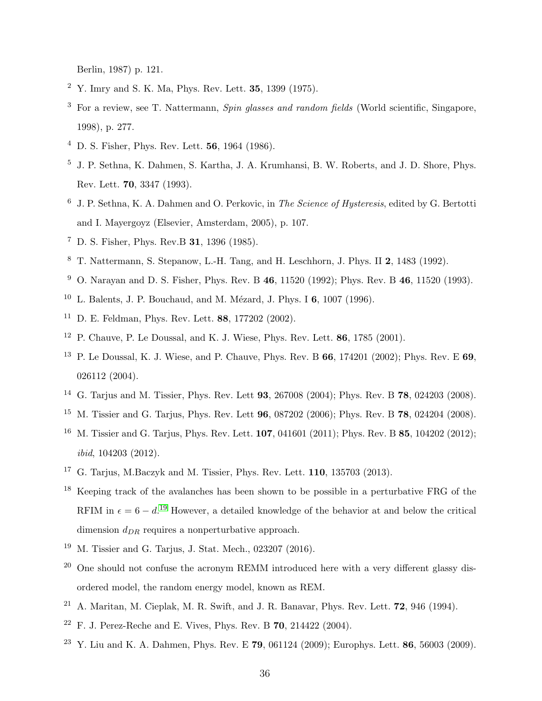Berlin, 1987) p. 121.

- <span id="page-35-0"></span><sup>2</sup> Y. Imry and S. K. Ma, Phys. Rev. Lett. 35, 1399 (1975).
- <span id="page-35-1"></span><sup>3</sup> For a review, see T. Nattermann, *Spin glasses and random fields* (World scientific, Singapore, 1998), p. 277.
- <span id="page-35-2"></span><sup>4</sup> D. S. Fisher, Phys. Rev. Lett. 56, 1964 (1986).
- <span id="page-35-3"></span><sup>5</sup> J. P. Sethna, K. Dahmen, S. Kartha, J. A. Krumhansi, B. W. Roberts, and J. D. Shore, Phys. Rev. Lett. 70, 3347 (1993).
- <span id="page-35-4"></span> $6\,$  J. P. Sethna, K. A. Dahmen and O. Perkovic, in The Science of Hysteresis, edited by G. Bertotti and I. Mayergoyz (Elsevier, Amsterdam, 2005), p. 107.
- <span id="page-35-5"></span><sup>7</sup> D. S. Fisher, Phys. Rev.B 31, 1396 (1985).
- <span id="page-35-7"></span><sup>8</sup> T. Nattermann, S. Stepanow, L.-H. Tang, and H. Leschhorn, J. Phys. II 2, 1483 (1992).
- <span id="page-35-6"></span><sup>9</sup> O. Narayan and D. S. Fisher, Phys. Rev. B 46, 11520 (1992); Phys. Rev. B 46, 11520 (1993).
- <sup>10</sup> L. Balents, J. P. Bouchaud, and M. Mézard, J. Phys. I 6, 1007 (1996).
- <sup>11</sup> D. E. Feldman, Phys. Rev. Lett. 88, 177202 (2002).
- <span id="page-35-9"></span><sup>12</sup> P. Chauve, P. Le Doussal, and K. J. Wiese, Phys. Rev. Lett. **86**, 1785 (2001).
- <span id="page-35-10"></span><sup>13</sup> P. Le Doussal, K. J. Wiese, and P. Chauve, Phys. Rev. B  $66$ , 174201 (2002); Phys. Rev. E  $69$ . 026112 (2004).
- <span id="page-35-8"></span><sup>14</sup> G. Tarjus and M. Tissier, Phys. Rev. Lett **93**, 267008 (2004); Phys. Rev. B **78**, 024203 (2008).
- <span id="page-35-16"></span><sup>15</sup> M. Tissier and G. Tarjus, Phys. Rev. Lett **96**, 087202 (2006); Phys. Rev. B **78**, 024204 (2008).
- <span id="page-35-15"></span><sup>16</sup> M. Tissier and G. Tarjus, Phys. Rev. Lett. **107**, 041601 (2011); Phys. Rev. B **85**, 104202 (2012); ibid, 104203 (2012).
- <sup>17</sup> G. Tarjus, M.Baczyk and M. Tissier, Phys. Rev. Lett. 110, 135703 (2013).
- <span id="page-35-11"></span><sup>18</sup> Keeping track of the avalanches has been shown to be possible in a perturbative FRG of the RFIM in  $\epsilon = 6 - d$ .<sup>[19](#page-35-17)</sup> However, a detailed knowledge of the behavior at and below the critical dimension  $d_{DR}$  requires a nonperturbative approach.
- <span id="page-35-17"></span><span id="page-35-12"></span><sup>19</sup> M. Tissier and G. Tarjus, J. Stat. Mech., 023207 (2016).
- $20$  One should not confuse the acronym REMM introduced here with a very different glassy disordered model, the random energy model, known as REM.
- <span id="page-35-13"></span><sup>21</sup> A. Maritan, M. Cieplak, M. R. Swift, and J. R. Banavar, Phys. Rev. Lett. **72**, 946 (1994).
- <sup>22</sup> F. J. Perez-Reche and E. Vives, Phys. Rev. B  $70$ , 214422 (2004).
- <span id="page-35-14"></span><sup>23</sup> Y. Liu and K. A. Dahmen, Phys. Rev. E **79**, 061124 (2009); Europhys. Lett. **86**, 56003 (2009).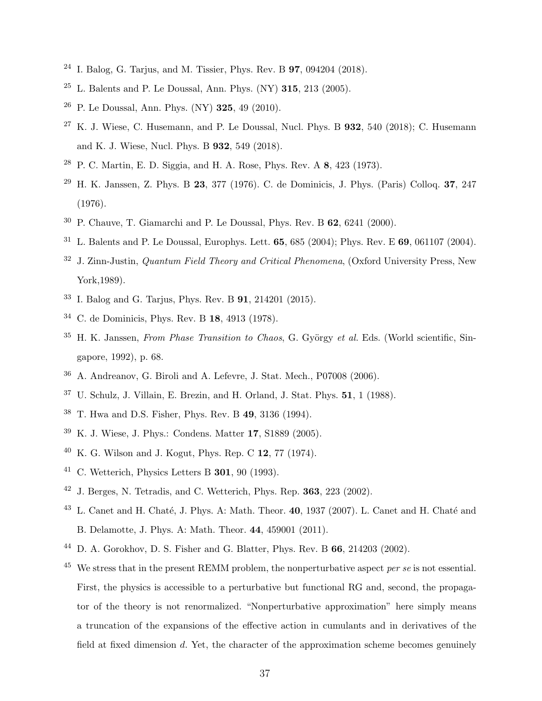- <span id="page-36-0"></span><sup>24</sup> I. Balog, G. Tarjus, and M. Tissier, Phys. Rev. B  $97, 094204$  (2018).
- <span id="page-36-1"></span> $25$  L. Balents and P. Le Doussal, Ann. Phys. (NY) 315, 213 (2005).
- <span id="page-36-18"></span><sup>26</sup> P. Le Doussal, Ann. Phys. (NY) **325**, 49 (2010).
- <span id="page-36-2"></span> $27$  K. J. Wiese, C. Husemann, and P. Le Doussal, Nucl. Phys. B 932, 540 (2018); C. Husemann and K. J. Wiese, Nucl. Phys. B 932, 549 (2018).
- <span id="page-36-3"></span><sup>28</sup> P. C. Martin, E. D. Siggia, and H. A. Rose, Phys. Rev. A 8, 423 (1973).
- <span id="page-36-4"></span><sup>29</sup> H. K. Janssen, Z. Phys. B 23, 377 (1976). C. de Dominicis, J. Phys. (Paris) Colloq. 37, 247 (1976).
- <span id="page-36-20"></span> $30$  P. Chauve, T. Giamarchi and P. Le Doussal, Phys. Rev. B 62, 6241 (2000).
- <span id="page-36-5"></span><sup>31</sup> L. Balents and P. Le Doussal, Europhys. Lett. **65**, 685 (2004); Phys. Rev. E **69**, 061107 (2004).
- <span id="page-36-6"></span> $32$  J. Zinn-Justin, *Quantum Field Theory and Critical Phenomena*, (Oxford University Press, New York,1989).
- <span id="page-36-7"></span><sup>33</sup> I. Balog and G. Tarjus, Phys. Rev. B 91, 214201 (2015).
- <span id="page-36-8"></span><sup>34</sup> C. de Dominicis, Phys. Rev. B 18, 4913 (1978).
- <span id="page-36-9"></span><sup>35</sup> H. K. Janssen, From Phase Transition to Chaos, G. György et al. Eds. (World scientific, Singapore, 1992), p. 68.
- <span id="page-36-10"></span><sup>36</sup> A. Andreanov, G. Biroli and A. Lefevre, J. Stat. Mech., P07008 (2006).
- <span id="page-36-11"></span> $37$  U. Schulz, J. Villain, E. Brezin, and H. Orland, J. Stat. Phys.  $51$ , 1 (1988).
- <span id="page-36-12"></span><sup>38</sup> T. Hwa and D.S. Fisher, Phys. Rev. B 49, 3136 (1994).
- <span id="page-36-13"></span><sup>39</sup> K. J. Wiese, J. Phys.: Condens. Matter 17, S1889 (2005).
- <span id="page-36-14"></span><sup>40</sup> K. G. Wilson and J. Kogut, Phys. Rep. C 12, 77 (1974).
- <span id="page-36-16"></span> $41$  C. Wetterich, Physics Letters B 301, 90 (1993).
- <span id="page-36-17"></span><span id="page-36-15"></span> $42$  J. Berges, N. Tetradis, and C. Wetterich, Phys. Rep. 363, 223 (2002).
- $43$  L. Canet and H. Chaté, J. Phys. A: Math. Theor. 40, 1937 (2007). L. Canet and H. Chaté and B. Delamotte, J. Phys. A: Math. Theor. 44, 459001 (2011).
- <span id="page-36-19"></span><sup>44</sup> D. A. Gorokhov, D. S. Fisher and G. Blatter, Phys. Rev. B  $66$ , 214203 (2002).
- <span id="page-36-21"></span> $45$  We stress that in the present REMM problem, the nonperturbative aspect *per se* is not essential. First, the physics is accessible to a perturbative but functional RG and, second, the propagator of the theory is not renormalized. "Nonperturbative approximation" here simply means a truncation of the expansions of the effective action in cumulants and in derivatives of the field at fixed dimension d. Yet, the character of the approximation scheme becomes genuinely